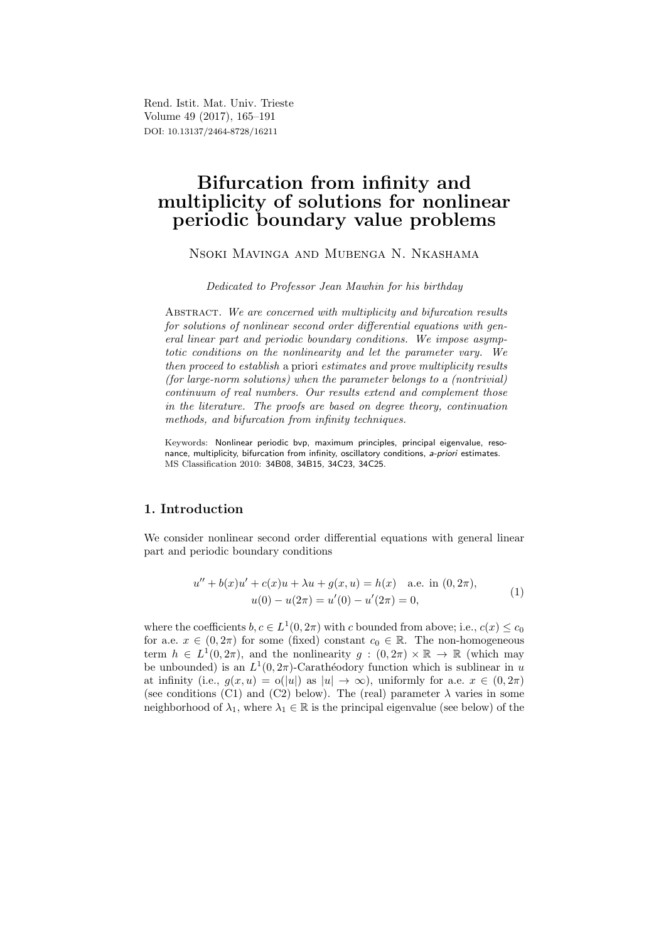Rend. Istit. Mat. Univ. Trieste Volume 49 (2017), 165–191 DOI: 10.13137/2464-8728/16211

# Bifurcation from infinity and multiplicity of solutions for nonlinear periodic boundary value problems

# Nsoki Mavinga and Mubenga N. Nkashama

Dedicated to Professor Jean Mawhin for his birthday

ABSTRACT. We are concerned with multiplicity and bifurcation results for solutions of nonlinear second order differential equations with general linear part and periodic boundary conditions. We impose asymptotic conditions on the nonlinearity and let the parameter vary. We then proceed to establish a priori estimates and prove multiplicity results (for large-norm solutions) when the parameter belongs to a (nontrivial) continuum of real numbers. Our results extend and complement those in the literature. The proofs are based on degree theory, continuation methods, and bifurcation from infinity techniques.

Keywords: Nonlinear periodic bvp, maximum principles, principal eigenvalue, resonance, multiplicity, bifurcation from infinity, oscillatory conditions, a-priori estimates. MS Classification 2010: 34B08, 34B15, 34C23, 34C25.

# 1. Introduction

We consider nonlinear second order differential equations with general linear part and periodic boundary conditions

$$
u'' + b(x)u' + c(x)u + \lambda u + g(x, u) = h(x) \quad \text{a.e. in } (0, 2\pi),
$$
  

$$
u(0) - u(2\pi) = u'(0) - u'(2\pi) = 0,
$$
 (1)

where the coefficients  $b, c \in L^1(0, 2\pi)$  with c bounded from above; i.e.,  $c(x) \leq c_0$ for a.e.  $x \in (0, 2\pi)$  for some (fixed) constant  $c_0 \in \mathbb{R}$ . The non-homogeneous term  $h \in L^1(0, 2\pi)$ , and the nonlinearity  $g : (0, 2\pi) \times \mathbb{R} \to \mathbb{R}$  (which may be unbounded) is an  $L^1(0, 2\pi)$ -Carathéodory function which is sublinear in u at infinity (i.e.,  $q(x, u) = o(|u|)$  as  $|u| \to \infty$ ), uniformly for a.e.  $x \in (0, 2\pi)$ (see conditions (C1) and (C2) below). The (real) parameter  $\lambda$  varies in some neighborhood of  $\lambda_1$ , where  $\lambda_1 \in \mathbb{R}$  is the principal eigenvalue (see below) of the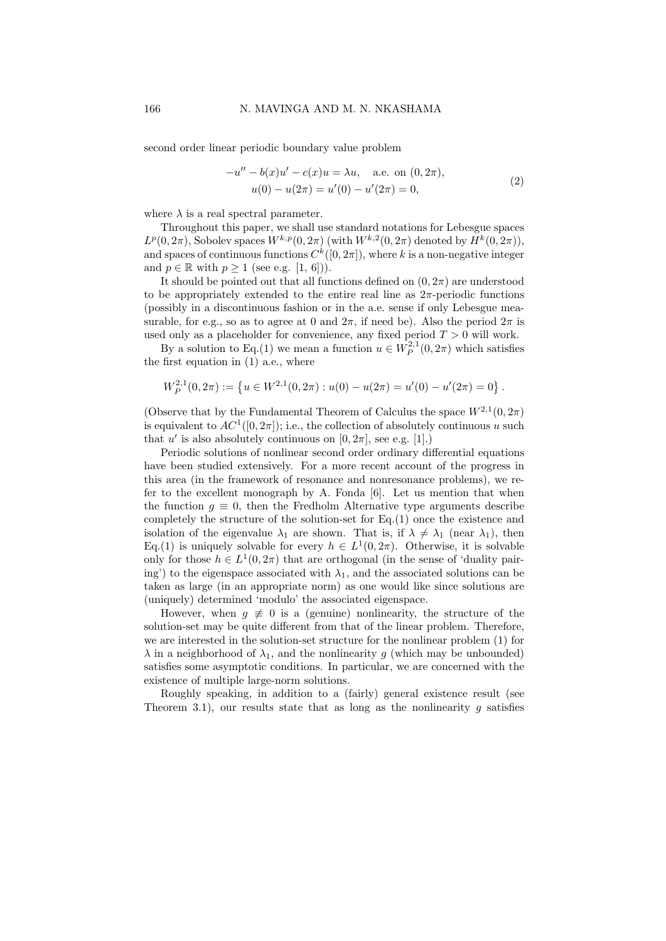second order linear periodic boundary value problem

$$
-u'' - b(x)u' - c(x)u = \lambda u, \quad \text{a.e. on } (0, 2\pi),
$$
  

$$
u(0) - u(2\pi) = u'(0) - u'(2\pi) = 0,
$$
 (2)

where  $\lambda$  is a real spectral parameter.

Throughout this paper, we shall use standard notations for Lebesgue spaces  $L^p(0, 2\pi)$ , Sobolev spaces  $W^{k,p}(0, 2\pi)$  (with  $W^{k,2}(0, 2\pi)$  denoted by  $H^k(0, 2\pi)$ ), and spaces of continuous functions  $C^k([0, 2\pi])$ , where k is a non-negative integer and  $p \in \mathbb{R}$  with  $p \geq 1$  (see e.g. [1, 6])).

It should be pointed out that all functions defined on  $(0, 2\pi)$  are understood to be appropriately extended to the entire real line as  $2\pi$ -periodic functions (possibly in a discontinuous fashion or in the a.e. sense if only Lebesgue measurable, for e.g., so as to agree at 0 and  $2\pi$ , if need be). Also the period  $2\pi$  is used only as a placeholder for convenience, any fixed period  $T > 0$  will work.

By a solution to Eq.(1) we mean a function  $u \in W_P^{2,1}(0, 2\pi)$  which satisfies the first equation in  $(1)$  a.e., where

$$
W_P^{2,1}(0,2\pi) := \left\{ u \in W^{2,1}(0,2\pi) : u(0) - u(2\pi) = u'(0) - u'(2\pi) = 0 \right\}.
$$

(Observe that by the Fundamental Theorem of Calculus the space  $W^{2,1}(0, 2\pi)$ is equivalent to  $AC^1([0, 2\pi])$ ; i.e., the collection of absolutely continuous u such that u' is also absolutely continuous on  $[0, 2\pi]$ , see e.g.  $[1]$ .)

Periodic solutions of nonlinear second order ordinary differential equations have been studied extensively. For a more recent account of the progress in this area (in the framework of resonance and nonresonance problems), we refer to the excellent monograph by A. Fonda [6]. Let us mention that when the function  $g \equiv 0$ , then the Fredholm Alternative type arguments describe completely the structure of the solution-set for Eq.(1) once the existence and isolation of the eigenvalue  $\lambda_1$  are shown. That is, if  $\lambda \neq \lambda_1$  (near  $\lambda_1$ ), then Eq.(1) is uniquely solvable for every  $h \in L^1(0, 2\pi)$ . Otherwise, it is solvable only for those  $h \in L^1(0, 2\pi)$  that are orthogonal (in the sense of 'duality pairing') to the eigenspace associated with  $\lambda_1$ , and the associated solutions can be taken as large (in an appropriate norm) as one would like since solutions are (uniquely) determined 'modulo' the associated eigenspace.

However, when  $q \neq 0$  is a (genuine) nonlinearity, the structure of the solution-set may be quite different from that of the linear problem. Therefore, we are interested in the solution-set structure for the nonlinear problem (1) for  $\lambda$  in a neighborhood of  $\lambda_1$ , and the nonlinearity g (which may be unbounded) satisfies some asymptotic conditions. In particular, we are concerned with the existence of multiple large-norm solutions.

Roughly speaking, in addition to a (fairly) general existence result (see Theorem 3.1), our results state that as long as the nonlinearity q satisfies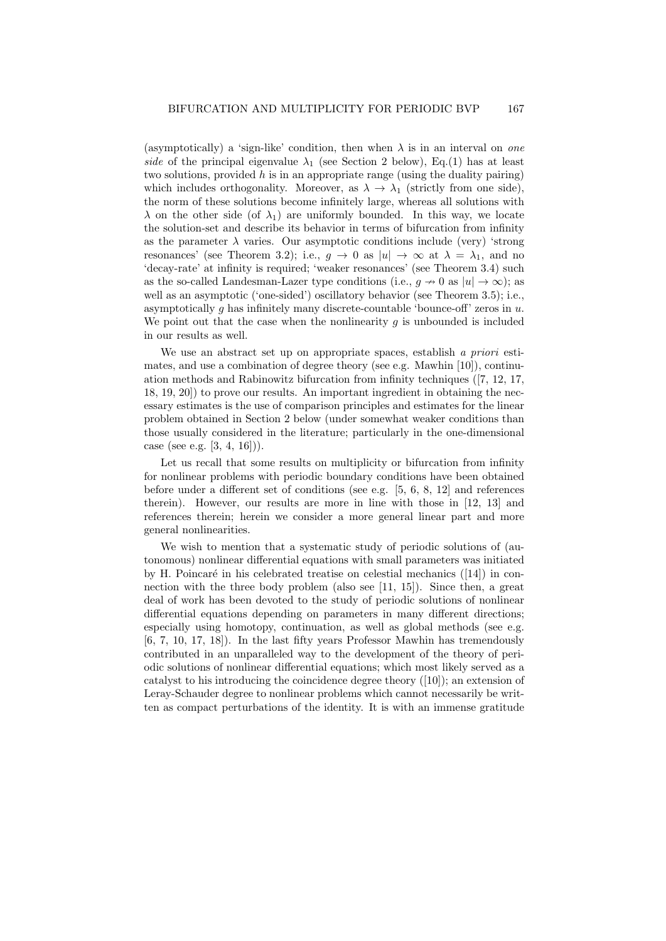(asymptotically) a 'sign-like' condition, then when  $\lambda$  is in an interval on one side of the principal eigenvalue  $\lambda_1$  (see Section 2 below), Eq.(1) has at least two solutions, provided  $h$  is in an appropriate range (using the duality pairing) which includes orthogonality. Moreover, as  $\lambda \to \lambda_1$  (strictly from one side), the norm of these solutions become infinitely large, whereas all solutions with  $\lambda$  on the other side (of  $\lambda_1$ ) are uniformly bounded. In this way, we locate the solution-set and describe its behavior in terms of bifurcation from infinity as the parameter  $\lambda$  varies. Our asymptotic conditions include (very) 'strong resonances' (see Theorem 3.2); i.e.,  $g \to 0$  as  $|u| \to \infty$  at  $\lambda = \lambda_1$ , and no 'decay-rate' at infinity is required; 'weaker resonances' (see Theorem 3.4) such as the so-called Landesman-Lazer type conditions (i.e.,  $q \to 0$  as  $|u| \to \infty$ ); as well as an asymptotic ('one-sided') oscillatory behavior (see Theorem 3.5); i.e., asymptotically q has infinitely many discrete-countable 'bounce-off' zeros in  $u$ . We point out that the case when the nonlinearity  $g$  is unbounded is included in our results as well.

We use an abstract set up on appropriate spaces, establish a priori estimates, and use a combination of degree theory (see e.g. Mawhin [10]), continuation methods and Rabinowitz bifurcation from infinity techniques ([7, 12, 17, 18, 19, 20]) to prove our results. An important ingredient in obtaining the necessary estimates is the use of comparison principles and estimates for the linear problem obtained in Section 2 below (under somewhat weaker conditions than those usually considered in the literature; particularly in the one-dimensional case (see e.g. [3, 4, 16])).

Let us recall that some results on multiplicity or bifurcation from infinity for nonlinear problems with periodic boundary conditions have been obtained before under a different set of conditions (see e.g. [5, 6, 8, 12] and references therein). However, our results are more in line with those in [12, 13] and references therein; herein we consider a more general linear part and more general nonlinearities.

We wish to mention that a systematic study of periodic solutions of (autonomous) nonlinear differential equations with small parameters was initiated by H. Poincaré in his celebrated treatise on celestial mechanics  $([14])$  in connection with the three body problem (also see [11, 15]). Since then, a great deal of work has been devoted to the study of periodic solutions of nonlinear differential equations depending on parameters in many different directions; especially using homotopy, continuation, as well as global methods (see e.g. [6, 7, 10, 17, 18]). In the last fifty years Professor Mawhin has tremendously contributed in an unparalleled way to the development of the theory of periodic solutions of nonlinear differential equations; which most likely served as a catalyst to his introducing the coincidence degree theory ([10]); an extension of Leray-Schauder degree to nonlinear problems which cannot necessarily be written as compact perturbations of the identity. It is with an immense gratitude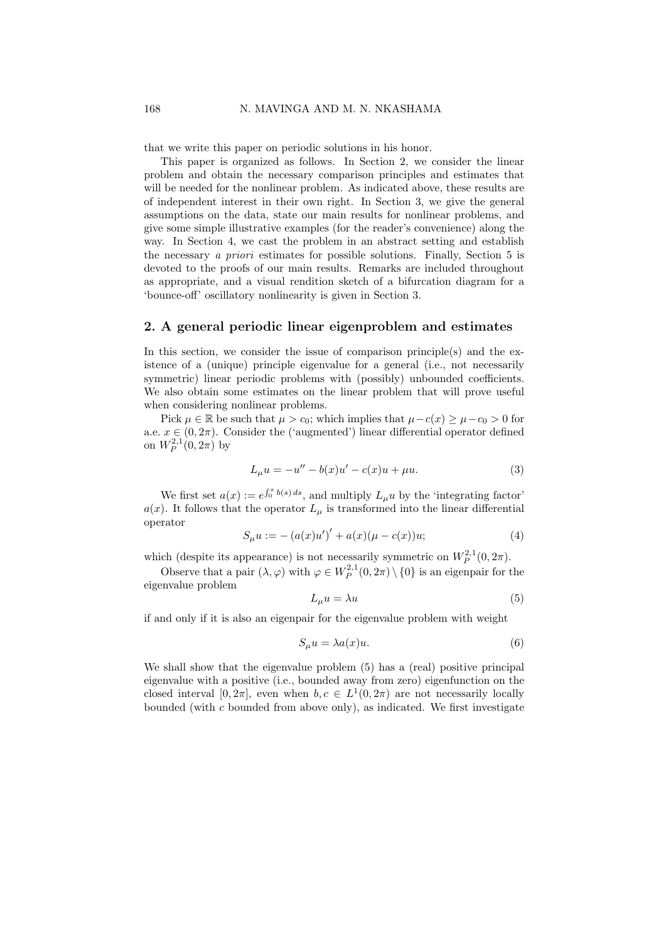that we write this paper on periodic solutions in his honor.

This paper is organized as follows. In Section 2, we consider the linear problem and obtain the necessary comparison principles and estimates that will be needed for the nonlinear problem. As indicated above, these results are of independent interest in their own right. In Section 3, we give the general assumptions on the data, state our main results for nonlinear problems, and give some simple illustrative examples (for the reader's convenience) along the way. In Section 4, we cast the problem in an abstract setting and establish the necessary a priori estimates for possible solutions. Finally, Section 5 is devoted to the proofs of our main results. Remarks are included throughout as appropriate, and a visual rendition sketch of a bifurcation diagram for a 'bounce-off' oscillatory nonlinearity is given in Section 3.

#### 2. A general periodic linear eigenproblem and estimates

In this section, we consider the issue of comparison principle(s) and the existence of a (unique) principle eigenvalue for a general (i.e., not necessarily symmetric) linear periodic problems with (possibly) unbounded coefficients. We also obtain some estimates on the linear problem that will prove useful when considering nonlinear problems.

Pick  $\mu \in \mathbb{R}$  be such that  $\mu > c_0$ ; which implies that  $\mu - c(x) \geq \mu - c_0 > 0$  for a.e.  $x \in (0, 2\pi)$ . Consider the ('augmented') linear differential operator defined on  $W_P^{2,1}(0, 2\pi)$  by

$$
L_{\mu}u = -u'' - b(x)u' - c(x)u + \mu u.
$$
\n(3)

We first set  $a(x) := e^{\int_0^x b(s) ds}$ , and multiply  $L_\mu u$  by the 'integrating factor'  $a(x)$ . It follows that the operator  $L_{\mu}$  is transformed into the linear differential operator

$$
S_{\mu}u := - (a(x)u')' + a(x)(\mu - c(x))u;
$$
 (4)

which (despite its appearance) is not necessarily symmetric on  $W_P^{2,1}(0, 2\pi)$ .

Observe that a pair  $(\lambda, \varphi)$  with  $\varphi \in W_P^{2,1}(0, 2\pi) \setminus \{0\}$  is an eigenpair for the eigenvalue problem

$$
L_{\mu}u = \lambda u \tag{5}
$$

if and only if it is also an eigenpair for the eigenvalue problem with weight

$$
S_{\mu}u = \lambda a(x)u. \tag{6}
$$

We shall show that the eigenvalue problem (5) has a (real) positive principal eigenvalue with a positive (i.e., bounded away from zero) eigenfunction on the closed interval  $[0, 2\pi]$ , even when  $b, c \in L^1(0, 2\pi)$  are not necessarily locally bounded (with c bounded from above only), as indicated. We first investigate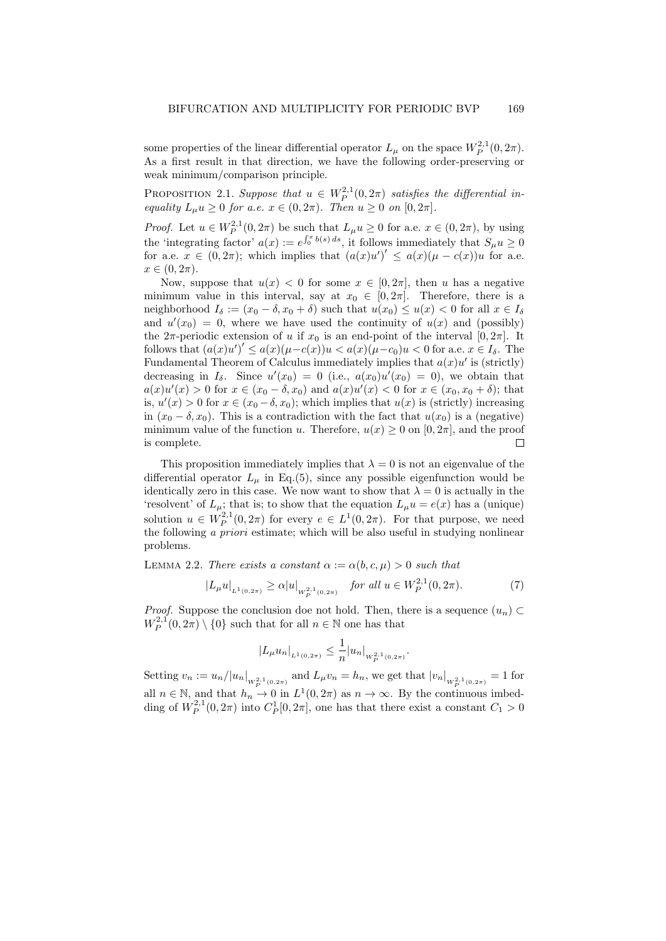some properties of the linear differential operator  $L_{\mu}$  on the space  $W_P^{2,1}(0, 2\pi)$ . As a first result in that direction, we have the following order-preserving or weak minimum/comparison principle.

**PROPOSITION** 2.1. Suppose that  $u \in W_P^{2,1}(0, 2\pi)$  satisfies the differential inequality  $L_{\mu}u \geq 0$  for a.e.  $x \in (0, 2\pi)$ . Then  $u \geq 0$  on  $[0, 2\pi]$ .

*Proof.* Let  $u \in W^{2,1}_P(0,2\pi)$  be such that  $L_\mu u \geq 0$  for a.e.  $x \in (0,2\pi)$ , by using the 'integrating factor'  $a(x) := e^{\int_0^x b(s) ds}$ , it follows immediately that  $S_\mu u \ge 0$ for a.e.  $x \in (0, 2\pi)$ ; which implies that  $(a(x)u')' \leq a(x)(\mu - c(x))u$  for a.e.  $x \in (0, 2\pi).$ 

Now, suppose that  $u(x) < 0$  for some  $x \in [0, 2\pi]$ , then u has a negative minimum value in this interval, say at  $x_0 \in [0, 2\pi]$ . Therefore, there is a neighborhood  $I_{\delta} := (x_0 - \delta, x_0 + \delta)$  such that  $u(x_0) \le u(x) < 0$  for all  $x \in I_{\delta}$ and  $u'(x_0) = 0$ , where we have used the continuity of  $u(x)$  and (possibly) the  $2\pi$ -periodic extension of u if  $x_0$  is an end-point of the interval  $[0, 2\pi]$ . It follows that  $(a(x)u')' \leq a(x)(\mu - c(x))u < a(x)(\mu - c_0)u < 0$  for a.e.  $x \in I_\delta$ . The Fundamental Theorem of Calculus immediately implies that  $a(x)u'$  is (strictly) decreasing in  $I_{\delta}$ . Since  $u'(x_0) = 0$  (i.e.,  $a(x_0)u'(x_0) = 0$ ), we obtain that  $a(x)u'(x) > 0$  for  $x \in (x_0 - \delta, x_0)$  and  $a(x)u'(x) < 0$  for  $x \in (x_0, x_0 + \delta)$ ; that is,  $u'(x) > 0$  for  $x \in (x_0 - \delta, x_0)$ ; which implies that  $u(x)$  is (strictly) increasing in  $(x_0 - \delta, x_0)$ . This is a contradiction with the fact that  $u(x_0)$  is a (negative) minimum value of the function u. Therefore,  $u(x) \ge 0$  on  $[0, 2\pi]$ , and the proof is complete. is complete.

This proposition immediately implies that  $\lambda = 0$  is not an eigenvalue of the differential operator  $L_u$  in Eq.(5), since any possible eigenfunction would be identically zero in this case. We now want to show that  $\lambda = 0$  is actually in the 'resolvent' of  $L_{\mu}$ ; that is; to show that the equation  $L_{\mu}u = e(x)$  has a (unique) solution  $u \in W_P^{2,1}(0, 2\pi)$  for every  $e \in L^1(0, 2\pi)$ . For that purpose, we need the following a priori estimate; which will be also useful in studying nonlinear problems.

LEMMA 2.2. There exists a constant  $\alpha := \alpha(b, c, \mu) > 0$  such that

$$
|L_{\mu}u|_{L^{1}(0,2\pi)} \geq \alpha |u|_{W^{2,1}_{p}(0,2\pi)} \quad \text{for all } u \in W^{2,1}_{P}(0,2\pi). \tag{7}
$$

*Proof.* Suppose the conclusion doe not hold. Then, there is a sequence  $(u_n)$  $W_P^{2,1}(0, 2\pi) \setminus \{0\}$  such that for all  $n \in \mathbb{N}$  one has that

$$
|L_{\mu}u_n|_{L^1(0,2\pi)} \leq \frac{1}{n}|u_n|_{W_P^{2,1}(0,2\pi)}.
$$

Setting  $v_n := u_n/|u_n|_{W^{2,1}_{\rho_1(0,2\pi)}}$  and  $L_\mu v_n = h_n$ , we get that  $|v_n|_{W^{2,1}_{\rho_1(0,2\pi)}} = 1$  for all  $n \in \mathbb{N}$ , and that  $h_n \to 0$  in  $L^1(0, 2\pi)$  as  $n \to \infty$ . By the continuous imbedding of  $W_P^{2,1}(0, 2\pi)$  into  $C_P^1[0, 2\pi]$ , one has that there exist a constant  $C_1 > 0$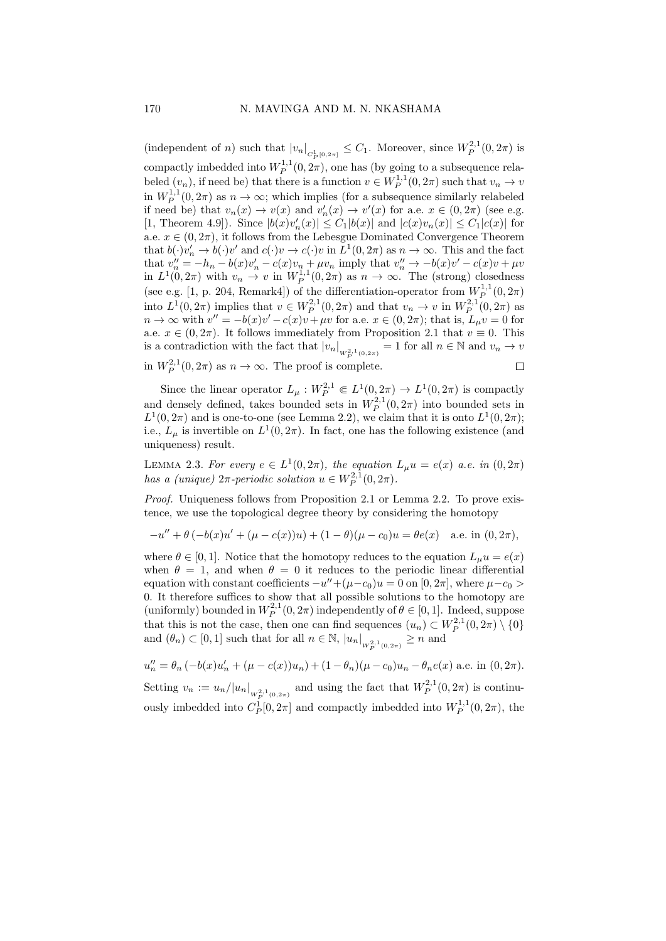(independent of *n*) such that  $|v_n|_{C_P^1[0,2\pi]} \leq C_1$ . Moreover, since  $W_P^{2,1}(0,2\pi)$  is compactly imbedded into  $W_P^{1,1}(0, 2\pi)$ , one has (by going to a subsequence relabeled  $(v_n)$ , if need be) that there is a function  $v \in W_P^{1,1}(0, 2\pi)$  such that  $v_n \to v$ in  $W_P^{1,1}(0, 2\pi)$  as  $n \to \infty$ ; which implies (for a subsequence similarly relabeled if need be) that  $v_n(x) \to v(x)$  and  $v'_n(x) \to v'(x)$  for a.e.  $x \in (0, 2\pi)$  (see e.g. [1, Theorem 4.9]). Since  $|b(x)v'_n(x)| \leq C_1 |b(x)|$  and  $|c(x)v_n(x)| \leq C_1 |c(x)|$  for a.e.  $x \in (0, 2\pi)$ , it follows from the Lebesgue Dominated Convergence Theorem that  $b(\cdot)v'_n \to b(\cdot)v'$  and  $c(\cdot)v \to c(\cdot)v$  in  $L^1(0, 2\pi)$  as  $n \to \infty$ . This and the fact that  $v''_n = -h_n - b(x)v'_n - c(x)v_n + \mu v_n$  imply that  $v''_n \to -b(x)v' - c(x)v + \mu v_n$ in  $L^1(0, 2\pi)$  with  $v_n \to v$  in  $W_P^{1,1}(0, 2\pi)$  as  $n \to \infty$ . The (strong) closedness (see e.g. [1, p. 204, Remark4]) of the differentiation-operator from  $W_P^{1,1}(0, 2\pi)$ into  $L^1(0, 2\pi)$  implies that  $v \in W_P^{2,1}(0, 2\pi)$  and that  $v_n \to v$  in  $W_P^{2,1}(0, 2\pi)$  as  $n \to \infty$  with  $v'' = -b(x)v' - c(x)v + \mu v$  for a.e.  $x \in (0, 2\pi)$ ; that is,  $L_{\mu}v = 0$  for a.e.  $x \in (0, 2\pi)$ . It follows immediately from Proposition 2.1 that  $v \equiv 0$ . This is a contradiction with the fact that  $|v_n|_{W^{2,1}(0,2\pi)} = 1$  for all  $n \in \mathbb{N}$  and  $v_n \to v$ in  $W_P^{2,1}(0, 2\pi)$  as  $n \to \infty$ . The proof is complete.  $\Box$ 

Since the linear operator  $L_{\mu}: W^{2,1}_{P} \in L^{1}(0, 2\pi) \to L^{1}(0, 2\pi)$  is compactly and densely defined, takes bounded sets in  $W_P^{2,1}(0, 2\pi)$  into bounded sets in  $L^1(0, 2\pi)$  and is one-to-one (see Lemma 2.2), we claim that it is onto  $L^1(0, 2\pi)$ ; i.e.,  $L_{\mu}$  is invertible on  $L^1(0, 2\pi)$ . In fact, one has the following existence (and uniqueness) result.

LEMMA 2.3. For every  $e \in L^1(0, 2\pi)$ , the equation  $L_\mu u = e(x)$  a.e. in  $(0, 2\pi)$ has a (unique)  $2\pi$ -periodic solution  $u \in W_P^{2,1}(0, 2\pi)$ .

Proof. Uniqueness follows from Proposition 2.1 or Lemma 2.2. To prove existence, we use the topological degree theory by considering the homotopy

$$
-u'' + \theta (-b(x)u' + (\mu - c(x))u) + (1 - \theta)(\mu - c_0)u = \theta e(x) \quad \text{a.e. in } (0, 2\pi),
$$

where  $\theta \in [0, 1]$ . Notice that the homotopy reduces to the equation  $L_{\mu}u = e(x)$ when  $\theta = 1$ , and when  $\theta = 0$  it reduces to the periodic linear differential equation with constant coefficients  $-u'' + (\mu - c_0)u = 0$  on  $[0, 2\pi]$ , where  $\mu - c_0$  > 0. It therefore suffices to show that all possible solutions to the homotopy are (uniformly) bounded in  $W_P^{2,1}(0, 2\pi)$  independently of  $\theta \in [0, 1]$ . Indeed, suppose that this is not the case, then one can find sequences  $(u_n) \subset W_P^{2,1}(0, 2\pi) \setminus \{0\}$ and  $(\theta_n) \subset [0,1]$  such that for all  $n \in \mathbb{N}$ ,  $|u_n|_{W^{2,1}_{P}(0,2\pi)} \geq n$  and

$$
u''_n = \theta_n \left( -b(x)u'_n + (\mu - c(x))u_n \right) + (1 - \theta_n)(\mu - c_0)u_n - \theta_n e(x)
$$
 a.e. in  $(0, 2\pi)$ .

Setting  $v_n := u_n/|u_n|_{W^{2,1}_{p}(0,2\pi)}$  and using the fact that  $W^{2,1}_P(0,2\pi)$  is continuously imbedded into  $C_P^1[0, 2\pi]$  and compactly imbedded into  $W_P^{1,1}(0, 2\pi)$ , the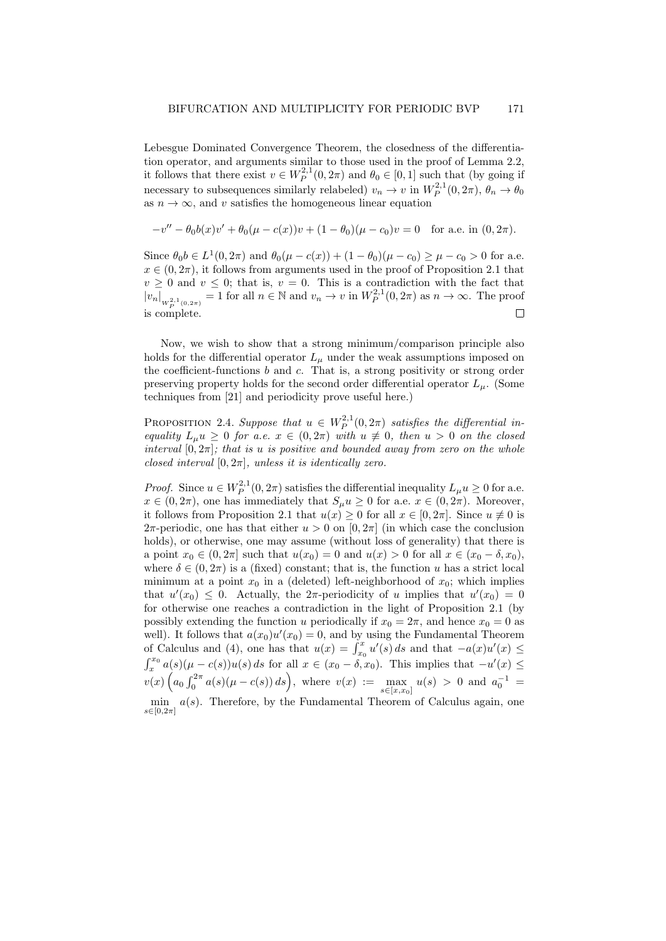Lebesgue Dominated Convergence Theorem, the closedness of the differentiation operator, and arguments similar to those used in the proof of Lemma 2.2, it follows that there exist  $v \in W_P^{2,1}(0, 2\pi)$  and  $\theta_0 \in [0, 1]$  such that (by going if necessary to subsequences similarly relabeled)  $v_n \to v$  in  $W_P^{2,1}(0, 2\pi)$ ,  $\theta_n \to \theta_0$ as  $n \to \infty$ , and v satisfies the homogeneous linear equation

$$
-v'' - \theta_0 b(x)v' + \theta_0(\mu - c(x))v + (1 - \theta_0)(\mu - c_0)v = 0 \text{ for a.e. in } (0, 2\pi).
$$

Since  $\theta_0 b \in L^1(0, 2\pi)$  and  $\theta_0(\mu - c(x)) + (1 - \theta_0)(\mu - c_0) \ge \mu - c_0 > 0$  for a.e.  $x \in (0, 2\pi)$ , it follows from arguments used in the proof of Proposition 2.1 that  $v \geq 0$  and  $v \leq 0$ ; that is,  $v = 0$ . This is a contradiction with the fact that  $|v_n|_{W_P^{2,1}(0,2\pi)} = 1$  for all  $n \in \mathbb{N}$  and  $v_n \to v$  in  $W_P^{2,1}(0,2\pi)$  as  $n \to \infty$ . The proof is complete.  $\Box$ 

Now, we wish to show that a strong minimum/comparison principle also holds for the differential operator  $L_{\mu}$  under the weak assumptions imposed on the coefficient-functions  $b$  and  $c$ . That is, a strong positivity or strong order preserving property holds for the second order differential operator  $L_{\mu}$ . (Some techniques from [21] and periodicity prove useful here.)

**PROPOSITION** 2.4. Suppose that  $u \in W_P^{2,1}(0, 2\pi)$  satisfies the differential inequality  $L_u u \geq 0$  for a.e.  $x \in (0, 2\pi)$  with  $u \not\equiv 0$ , then  $u > 0$  on the closed interval  $[0, 2\pi]$ ; that is u is positive and bounded away from zero on the whole closed interval  $[0, 2\pi]$ , unless it is identically zero.

*Proof.* Since  $u \in W_P^{2,1}(0, 2\pi)$  satisfies the differential inequality  $L_\mu u \geq 0$  for a.e.  $x \in (0, 2\pi)$ , one has immediately that  $S_{\mu}u \geq 0$  for a.e.  $x \in (0, 2\pi)$ . Moreover, it follows from Proposition 2.1 that  $u(x) \geq 0$  for all  $x \in [0, 2\pi]$ . Since  $u \neq 0$  is 2π-periodic, one has that either  $u > 0$  on  $[0, 2\pi]$  (in which case the conclusion holds), or otherwise, one may assume (without loss of generality) that there is a point  $x_0 \in (0, 2\pi]$  such that  $u(x_0) = 0$  and  $u(x) > 0$  for all  $x \in (x_0 - \delta, x_0)$ , where  $\delta \in (0, 2\pi)$  is a (fixed) constant; that is, the function u has a strict local minimum at a point  $x_0$  in a (deleted) left-neighborhood of  $x_0$ ; which implies that  $u'(x_0) \leq 0$ . Actually, the  $2\pi$ -periodicity of u implies that  $u'(x_0) = 0$ for otherwise one reaches a contradiction in the light of Proposition 2.1 (by possibly extending the function u periodically if  $x_0 = 2\pi$ , and hence  $x_0 = 0$  as well). It follows that  $a(x_0)u'(x_0) = 0$ , and by using the Fundamental Theorem of Calculus and (4), one has that  $u(x) = \int_{x_0}^x u'(s) ds$  and that  $-a(x)u'(x) \leq$  $\int_x^{x_0} a(s)(\mu - c(s))u(s) ds$  for all  $x \in (x_0 - \delta, x_0)$ . This implies that  $-u'(x) \leq$  $v(x)\left(a_0\int_0^{2\pi}a(s)(\mu-c(s))\,ds\right),\,\,\text{where}\,\,\,v(x)\;:=\;\max_{s\in\mathbb{R}^n}$  $s \in [x, x_0]$  $u(s) > 0$  and  $a_0^{-1} =$ min  $a(s)$ . Therefore, by the Fundamental Theorem of Calculus again, one

 $s \in [0, 2\pi]$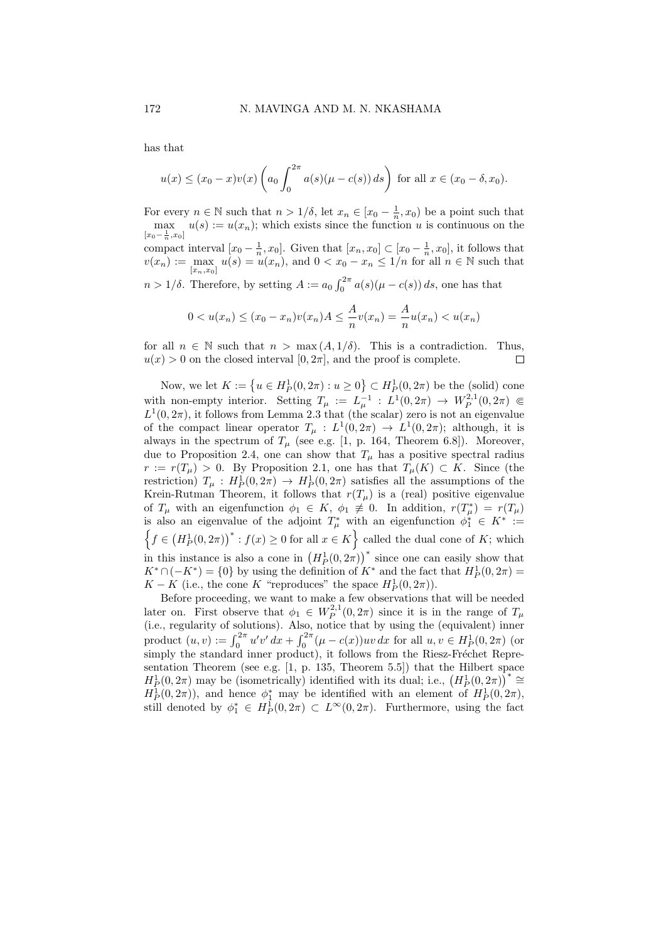has that

$$
u(x) \le (x_0 - x)v(x) \left(a_0 \int_0^{2\pi} a(s)(\mu - c(s)) ds\right)
$$
 for all  $x \in (x_0 - \delta, x_0)$ .

For every  $n \in \mathbb{N}$  such that  $n > 1/\delta$ , let  $x_n \in [x_0 - \frac{1}{n}, x_0)$  be a point such that  $\max_{u \in \mathcal{U}} u(s) := u(x_n)$ ; which exists since the function u is continuous on the  $[x_0 - \frac{1}{n}, x_0]$ compact interval  $[x_0 - \frac{1}{n}, x_0]$ . Given that  $[x_n, x_0] \subset [x_0 - \frac{1}{n}, x_0]$ , it follows that  $v(x_n) := \max_{[x_n,x_n]} u(s) = u(x_n)$ , and  $0 < x_0 - x_n \leq 1/n$  for all  $n \in \mathbb{N}$  such that

 $[x_n,x_0]$  $n > 1/\delta$ . Therefore, by setting  $A := a_0 \int_0^{2\pi} a(s)(\mu - c(s)) ds$ , one has that

$$
0 < u(x_n) \le (x_0 - x_n)v(x_n)A \le \frac{A}{n}v(x_n) = \frac{A}{n}u(x_n) < u(x_n)
$$

for all  $n \in \mathbb{N}$  such that  $n > \max(A, 1/\delta)$ . This is a contradiction. Thus,  $u(x) > 0$  on the closed interval  $[0, 2\pi]$ , and the proof is complete.  $u(x) > 0$  on the closed interval  $[0, 2\pi]$ , and the proof is complete.

Now, we let  $K := \{u \in H_P^1(0, 2\pi) : u \ge 0\} \subset H_P^1(0, 2\pi)$  be the (solid) cone with non-empty interior. Setting  $T_{\mu} := L_{\mu}^{-1} : L^1(0, 2\pi) \to W_P^{2,1}(0, 2\pi) \in$  $L^1(0, 2\pi)$ , it follows from Lemma 2.3 that (the scalar) zero is not an eigenvalue of the compact linear operator  $T_{\mu} : L^1(0, 2\pi) \to L^1(0, 2\pi)$ ; although, it is always in the spectrum of  $T_{\mu}$  (see e.g. [1, p. 164, Theorem 6.8]). Moreover, due to Proposition 2.4, one can show that  $T_{\mu}$  has a positive spectral radius  $r := r(T_\mu) > 0$ . By Proposition 2.1, one has that  $T_\mu(K) \subset K$ . Since (the restriction)  $T_{\mu}$ :  $H_P^1(0, 2\pi) \rightarrow H_P^1(0, 2\pi)$  satisfies all the assumptions of the Krein-Rutman Theorem, it follows that  $r(T_\mu)$  is a (real) positive eigenvalue of  $T_{\mu}$  with an eigenfunction  $\phi_1 \in K$ ,  $\phi_1 \neq 0$ . In addition,  $r(T_{\mu}^*) = r(T_{\mu})$ is also an eigenvalue of the adjoint  $T^*_{\mu}$  with an eigenfunction  $\phi_1^* \in K^* :=$  $\left\{f \in (H^1_P(0, 2\pi))^* : f(x) \geq 0 \text{ for all } x \in K\right\}$  called the dual cone of K; which in this instance is also a cone in  $(H_P^1(0, 2\pi))^*$  since one can easily show that  $K^* \cap (-K^*) = \{0\}$  by using the definition of  $K^*$  and the fact that  $H_P^1(0, 2\pi) =$  $K - K$  (i.e., the cone K "reproduces" the space  $H_P^1(0, 2\pi)$ ).

Before proceeding, we want to make a few observations that will be needed later on. First observe that  $\phi_1 \in W_P^{2,1}(0, 2\pi)$  since it is in the range of  $T_\mu$ (i.e., regularity of solutions). Also, notice that by using the (equivalent) inner product  $(u, v) := \int_0^{2\pi} u'v' dx + \int_0^{2\pi} (\mu - c(x))uv dx$  for all  $u, v \in H_P^1(0, 2\pi)$  (or simply the standard inner product), it follows from the Riesz-Fréchet Representation Theorem (see e.g. [1, p. 135, Theorem 5.5]) that the Hilbert space  $H_P^1(0, 2\pi)$  may be (isometrically) identified with its dual; i.e.,  $\left(H_P^1(0, 2\pi)\right)^* \cong$  $H_P^1(0, 2\pi)$ , and hence  $\phi_1^*$  may be identified with an element of  $H_P^1(0, 2\pi)$ , still denoted by  $\phi_1^* \in H^1_P(0, 2\pi) \subset L^\infty(0, 2\pi)$ . Furthermore, using the fact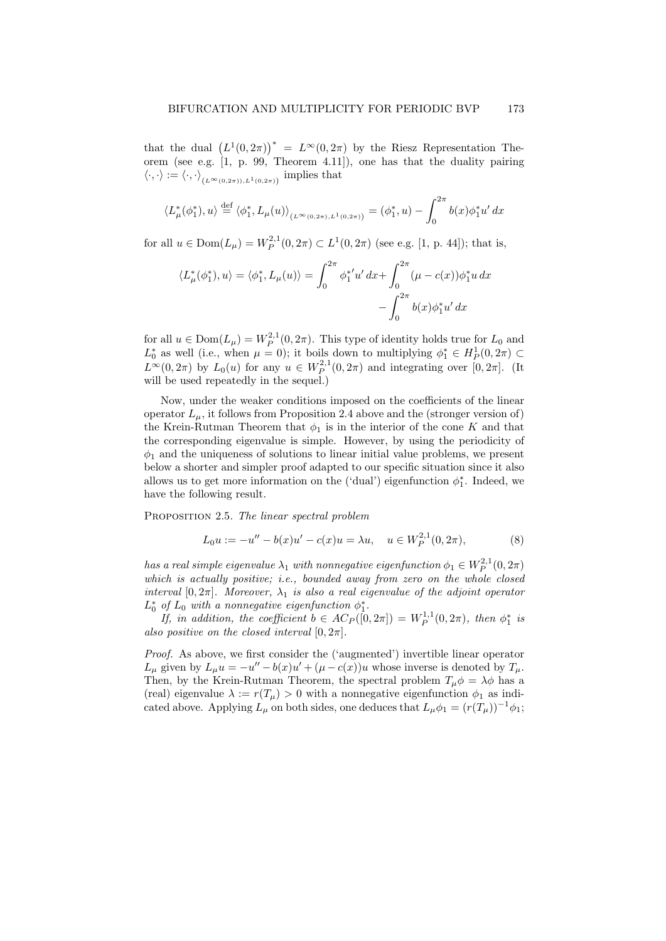that the dual  $(L^1(0, 2\pi))^* = L^{\infty}(0, 2\pi)$  by the Riesz Representation Theorem (see e.g.  $\vert 1, p. 99,$  Theorem 4.11), one has that the duality pairing  $\langle \cdot, \cdot \rangle := \langle \cdot, \cdot \rangle_{(L^{\infty}(0, 2\pi)), L^{1}(0, 2\pi))}$  implies that

$$
\langle L^*_{\mu}(\phi_1^*), u \rangle \stackrel{\text{def}}{=} \langle \phi_1^*, L_{\mu}(u) \rangle_{(L^{\infty}(0, 2\pi), L^1(0, 2\pi))} = (\phi_1^*, u) - \int_0^{2\pi} b(x) \phi_1^* u' dx
$$

for all  $u \in \text{Dom}(L_{\mu}) = W_P^{2,1}(0, 2\pi) \subset L^1(0, 2\pi)$  (see e.g. [1, p. 44]); that is,

$$
\langle L^*_{\mu}(\phi_1^*), u \rangle = \langle \phi_1^*, L_{\mu}(u) \rangle = \int_0^{2\pi} \phi_1^{*'} u' \, dx + \int_0^{2\pi} (\mu - c(x)) \phi_1^* u \, dx - \int_0^{2\pi} b(x) \phi_1^* u' \, dx
$$

for all  $u \in \text{Dom}(L_{\mu}) = W_P^{2,1}(0, 2\pi)$ . This type of identity holds true for  $L_0$  and  $L_0^*$  as well (i.e., when  $\mu = 0$ ); it boils down to multiplying  $\phi_1^* \in H_P^1(0, 2\pi) \subset$  $L^{\infty}(0, 2\pi)$  by  $L_0(u)$  for any  $u \in W_P^{2,1}(0, 2\pi)$  and integrating over  $[0, 2\pi]$ . (It will be used repeatedly in the sequel.)

Now, under the weaker conditions imposed on the coefficients of the linear operator  $L<sub>u</sub>$ , it follows from Proposition 2.4 above and the (stronger version of) the Krein-Rutman Theorem that  $\phi_1$  is in the interior of the cone K and that the corresponding eigenvalue is simple. However, by using the periodicity of  $\phi_1$  and the uniqueness of solutions to linear initial value problems, we present below a shorter and simpler proof adapted to our specific situation since it also allows us to get more information on the ('dual') eigenfunction  $\phi_1^*$ . Indeed, we have the following result.

PROPOSITION 2.5. The linear spectral problem

$$
L_0 u := -u'' - b(x)u' - c(x)u = \lambda u, \quad u \in W_P^{2,1}(0, 2\pi),
$$
 (8)

has a real simple eigenvalue  $\lambda_1$  with nonnegative eigenfunction  $\phi_1 \in W_P^{2,1}(0, 2\pi)$ which is actually positive; i.e., bounded away from zero on the whole closed interval [0,  $2\pi$ ]. Moreover,  $\lambda_1$  is also a real eigenvalue of the adjoint operator  $L_0^*$  of  $L_0$  with a nonnegative eigenfunction  $\phi_1^*$ .

If, in addition, the coefficient  $b \in AC_P([0, 2\pi]) = W_P^{1,1}(0, 2\pi)$ , then  $\phi_1^*$  is also positive on the closed interval  $[0, 2\pi]$ .

Proof. As above, we first consider the ('augmented') invertible linear operator  $L_{\mu}$  given by  $L_{\mu}u = -u'' - b(x)u' + (\mu - c(x))u$  whose inverse is denoted by  $T_{\mu}$ . Then, by the Krein-Rutman Theorem, the spectral problem  $T_{\mu}\phi = \lambda\phi$  has a (real) eigenvalue  $\lambda := r(T_{\mu}) > 0$  with a nonnegative eigenfunction  $\phi_1$  as indicated above. Applying  $L_\mu$  on both sides, one deduces that  $L_\mu \phi_1 = (r(T_\mu))^{-1} \phi_1$ ;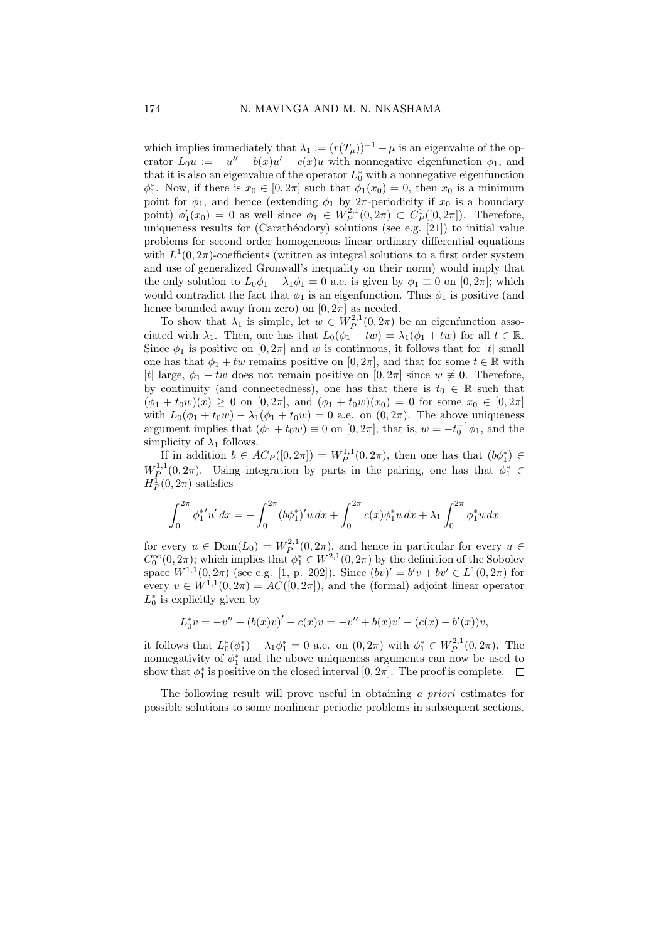which implies immediately that  $\lambda_1 := (r(T_\mu))^{-1} - \mu$  is an eigenvalue of the operator  $L_0 u := -u'' - b(x)u' - c(x)u$  with nonnegative eigenfunction  $\phi_1$ , and that it is also an eigenvalue of the operator  $L_0^*$  with a nonnegative eigenfunction  $\phi_1^*$ . Now, if there is  $x_0 \in [0, 2\pi]$  such that  $\phi_1(x_0) = 0$ , then  $x_0$  is a minimum point for  $\phi_1$ , and hence (extending  $\phi_1$  by  $2\pi$ -periodicity if  $x_0$  is a boundary point)  $\phi'_1(x_0) = 0$  as well since  $\phi_1 \in W_P^{2,1}(0, 2\pi) \subset C_P^1([0, 2\pi])$ . Therefore, uniqueness results for (Carathéodory) solutions (see e.g. [21]) to initial value problems for second order homogeneous linear ordinary differential equations with  $L^1(0, 2\pi)$ -coefficients (written as integral solutions to a first order system and use of generalized Gronwall's inequality on their norm) would imply that the only solution to  $L_0\phi_1 - \lambda_1\phi_1 = 0$  a.e. is given by  $\phi_1 \equiv 0$  on  $[0, 2\pi]$ ; which would contradict the fact that  $\phi_1$  is an eigenfunction. Thus  $\phi_1$  is positive (and hence bounded away from zero) on  $[0, 2\pi]$  as needed.

To show that  $\lambda_1$  is simple, let  $w \in W_P^{2,1}(0, 2\pi)$  be an eigenfunction associated with  $\lambda_1$ . Then, one has that  $L_0(\phi_1 + tw) = \lambda_1(\phi_1 + tw)$  for all  $t \in \mathbb{R}$ . Since  $\phi_1$  is positive on  $[0, 2\pi]$  and w is continuous, it follows that for |t| small one has that  $\phi_1 + tw$  remains positive on  $[0, 2\pi]$ , and that for some  $t \in \mathbb{R}$  with |t| large,  $\phi_1 + tw$  does not remain positive on  $[0, 2\pi]$  since  $w \neq 0$ . Therefore, by continuity (and connectedness), one has that there is  $t_0 \in \mathbb{R}$  such that  $(\phi_1 + t_0w)(x) \geq 0$  on  $[0, 2\pi]$ , and  $(\phi_1 + t_0w)(x_0) = 0$  for some  $x_0 \in [0, 2\pi]$ with  $L_0(\phi_1 + t_0w) - \lambda_1(\phi_1 + t_0w) = 0$  a.e. on  $(0, 2\pi)$ . The above uniqueness argument implies that  $(\phi_1 + t_0 w) \equiv 0$  on  $[0, 2\pi]$ ; that is,  $w = -t_0^{-1} \phi_1$ , and the simplicity of  $\lambda_1$  follows.

If in addition  $b \in AC_P([0, 2\pi]) = W_P^{1,1}(0, 2\pi)$ , then one has that  $(b\phi_1^*) \in$  $W_P^{1,1}(0,2\pi)$ . Using integration by parts in the pairing, one has that  $\phi_1^* \in$  $H_P^1(0, 2\pi)$  satisfies

$$
\int_0^{2\pi} \phi_1^{*'} u' dx = -\int_0^{2\pi} (b\phi_1^*)' u dx + \int_0^{2\pi} c(x) \phi_1^* u dx + \lambda_1 \int_0^{2\pi} \phi_1^* u dx
$$

for every  $u \in \text{Dom}(L_0) = W_P^{2,1}(0, 2\pi)$ , and hence in particular for every  $u \in$  $C_0^{\infty}(0, 2\pi)$ ; which implies that  $\phi_1^* \in W^{2,1}(0, 2\pi)$  by the definition of the Sobolev space  $W^{1,1}(0, 2\pi)$  (see e.g. [1, p. 202]). Since  $(bv)' = b'v + bv' \in L^1(0, 2\pi)$  for every  $v \in W^{1,1}(0, 2\pi) = AC([0, 2\pi])$ , and the (formal) adjoint linear operator  $L_0^*$  is explicitly given by

$$
L_0^* v = -v'' + (b(x)v)' - c(x)v = -v'' + b(x)v' - (c(x) - b'(x))v,
$$

it follows that  $L_0^*(\phi_1^*) - \lambda_1 \phi_1^* = 0$  a.e. on  $(0, 2\pi)$  with  $\phi_1^* \in W_P^{2,1}(0, 2\pi)$ . The nonnegativity of  $\phi_1^*$  and the above uniqueness arguments can now be used to show that  $\phi_1^*$  is positive on the closed interval  $[0, 2\pi]$ . The proof is complete.

The following result will prove useful in obtaining a priori estimates for possible solutions to some nonlinear periodic problems in subsequent sections.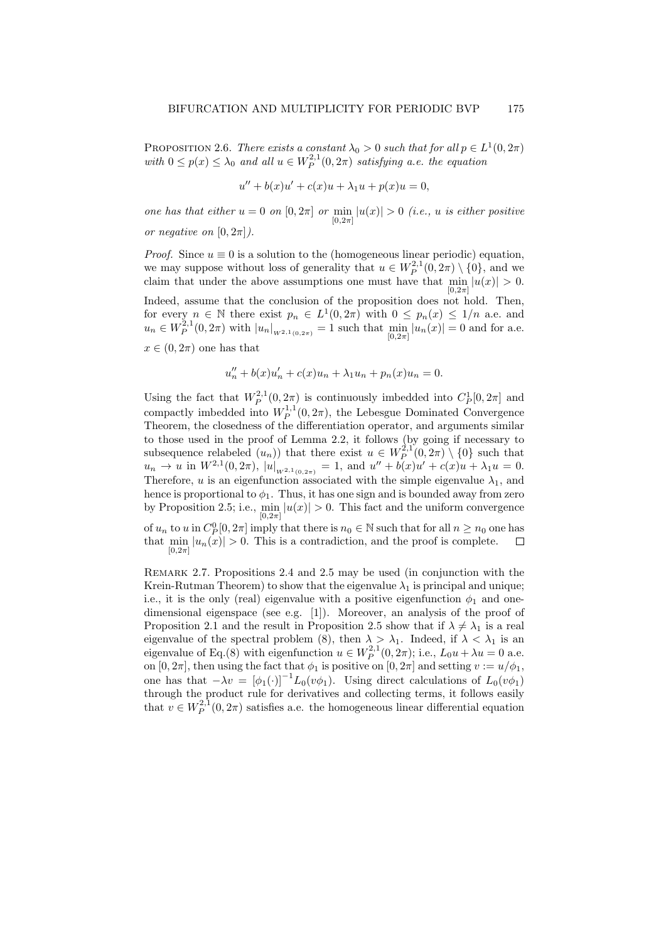PROPOSITION 2.6. There exists a constant  $\lambda_0 > 0$  such that for all  $p \in L^1(0, 2\pi)$ with  $0 \le p(x) \le \lambda_0$  and all  $u \in W_P^{2,1}(0, 2\pi)$  satisfying a.e. the equation

$$
u'' + b(x)u' + c(x)u + \lambda_1 u + p(x)u = 0,
$$

one has that either  $u = 0$  on  $[0, 2\pi]$  or  $\min_{[0, 2\pi]} |u(x)| > 0$  (i.e., u is either positive or negative on  $[0, 2\pi]$ ).

*Proof.* Since  $u \equiv 0$  is a solution to the (homogeneous linear periodic) equation, we may suppose without loss of generality that  $u \in W_P^{2,1}(0, 2\pi) \setminus \{0\}$ , and we claim that under the above assumptions one must have that  $\min_{[0,2\pi]} |u(x)| > 0$ .

Indeed, assume that the conclusion of the proposition does not hold. Then, for every  $n \in \mathbb{N}$  there exist  $p_n \in L^1(0, 2\pi)$  with  $0 \leq p_n(x) \leq 1/n$  a.e. and  $u_n \in W_P^{2,1}(0, 2\pi)$  with  $|u_n|_{W^{2,1}(0, 2\pi)} = 1$  such that  $\min_{[0, 2\pi]} |u_n(x)| = 0$  and for a.e.  $[0,2\pi]$ 

 $x \in (0, 2\pi)$  one has that

 $[0,2\pi]$ 

$$
u''_n + b(x)u'_n + c(x)u_n + \lambda_1 u_n + p_n(x)u_n = 0.
$$

Using the fact that  $W_P^{2,1}(0, 2\pi)$  is continuously imbedded into  $C_P^1[0, 2\pi]$  and compactly imbedded into  $W_P^{1,1}(0, 2\pi)$ , the Lebesgue Dominated Convergence Theorem, the closedness of the differentiation operator, and arguments similar to those used in the proof of Lemma 2.2, it follows (by going if necessary to subsequence relabeled  $(u_n)$ ) that there exist  $u \in W_P^{2,1}(0, 2\pi) \setminus \{0\}$  such that  $u_n \to u$  in  $W^{2,1}(0, 2\pi)$ ,  $|u|_{W^{2,1}(0, 2\pi)} = 1$ , and  $u'' + b(x)u' + c(x)u + \lambda_1 u = 0$ . Therefore, u is an eigenfunction associated with the simple eigenvalue  $\lambda_1$ , and hence is proportional to  $\phi_1$ . Thus, it has one sign and is bounded away from zero by Proposition 2.5; i.e.,  $\min_{[0,2\pi]} |u(x)| > 0$ . This fact and the uniform convergence of  $u_n$  to  $u$  in  $C_P^0[0, 2\pi]$  imply that there is  $n_0 \in \mathbb{N}$  such that for all  $n \geq n_0$  one has that  $\min_{[0,2\pi]} |u_n(x)| > 0$ . This is a contradiction, and the proof is complete.

Remark 2.7. Propositions 2.4 and 2.5 may be used (in conjunction with the Krein-Rutman Theorem) to show that the eigenvalue  $\lambda_1$  is principal and unique; i.e., it is the only (real) eigenvalue with a positive eigenfunction  $\phi_1$  and onedimensional eigenspace (see e.g. [1]). Moreover, an analysis of the proof of Proposition 2.1 and the result in Proposition 2.5 show that if  $\lambda \neq \lambda_1$  is a real eigenvalue of the spectral problem (8), then  $\lambda > \lambda_1$ . Indeed, if  $\lambda < \lambda_1$  is an eigenvalue of Eq.(8) with eigenfunction  $u \in W_P^{2,1}(0, 2\pi)$ ; i.e.,  $L_0 u + \lambda u = 0$  a.e. on  $[0, 2\pi]$ , then using the fact that  $\phi_1$  is positive on  $[0, 2\pi]$  and setting  $v := u/\phi_1$ , one has that  $-\lambda v = [\phi_1(\cdot)]^{-1}L_0(v\phi_1)$ . Using direct calculations of  $L_0(v\phi_1)$ through the product rule for derivatives and collecting terms, it follows easily that  $v \in W_P^{2,1}(0, 2\pi)$  satisfies a.e. the homogeneous linear differential equation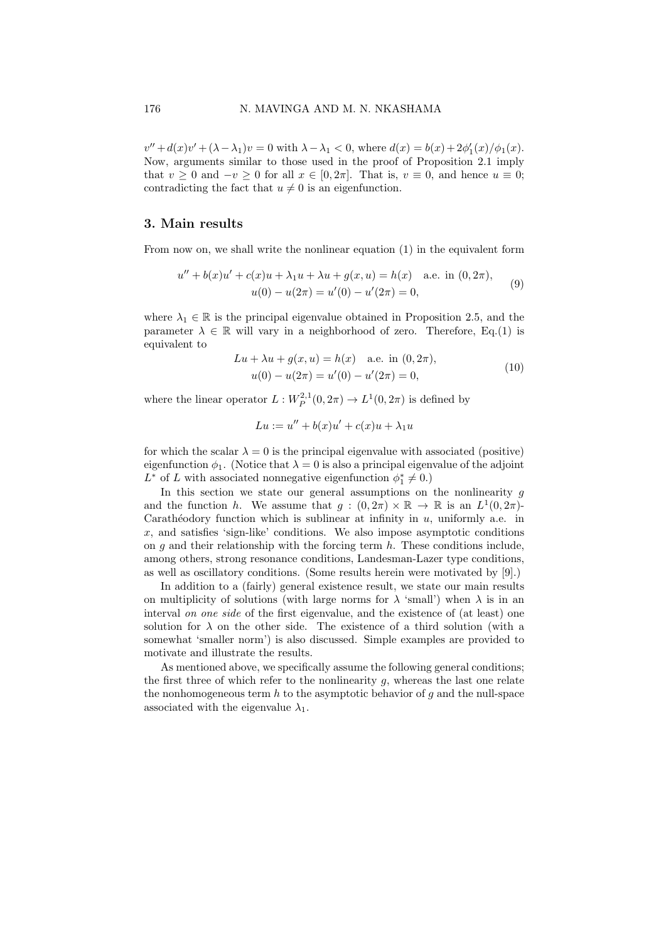$v'' + d(x)v' + (\lambda - \lambda_1)v = 0$  with  $\lambda - \lambda_1 < 0$ , where  $d(x) = b(x) + 2\phi'_1(x)/\phi_1(x)$ . Now, arguments similar to those used in the proof of Proposition 2.1 imply that  $v \ge 0$  and  $-v \ge 0$  for all  $x \in [0, 2\pi]$ . That is,  $v \equiv 0$ , and hence  $u \equiv 0$ ; contradicting the fact that  $u \neq 0$  is an eigenfunction.

### 3. Main results

From now on, we shall write the nonlinear equation (1) in the equivalent form

$$
u'' + b(x)u' + c(x)u + \lambda_1 u + \lambda u + g(x, u) = h(x) \quad \text{a.e. in } (0, 2\pi),
$$
  

$$
u(0) - u(2\pi) = u'(0) - u'(2\pi) = 0,
$$
 (9)

where  $\lambda_1 \in \mathbb{R}$  is the principal eigenvalue obtained in Proposition 2.5, and the parameter  $\lambda \in \mathbb{R}$  will vary in a neighborhood of zero. Therefore, Eq.(1) is equivalent to

$$
Lu + \lambda u + g(x, u) = h(x) \quad \text{a.e. in } (0, 2\pi),
$$
  

$$
u(0) - u(2\pi) = u'(0) - u'(2\pi) = 0,
$$
 (10)

where the linear operator  $L: W_P^{2,1}(0, 2\pi) \to L^1(0, 2\pi)$  is defined by

$$
Lu := u'' + b(x)u' + c(x)u + \lambda_1 u
$$

for which the scalar  $\lambda = 0$  is the principal eigenvalue with associated (positive) eigenfunction  $\phi_1$ . (Notice that  $\lambda = 0$  is also a principal eigenvalue of the adjoint  $L^*$  of L with associated nonnegative eigenfunction  $\phi_1^* \neq 0$ .)

In this section we state our general assumptions on the nonlinearity  $g$ and the function h. We assume that  $g: (0, 2\pi) \times \mathbb{R} \to \mathbb{R}$  is an  $L^1(0, 2\pi)$ . Carathéodory function which is sublinear at infinity in  $u$ , uniformly a.e. in  $x$ , and satisfies 'sign-like' conditions. We also impose asymptotic conditions on q and their relationship with the forcing term  $h$ . These conditions include, among others, strong resonance conditions, Landesman-Lazer type conditions, as well as oscillatory conditions. (Some results herein were motivated by [9].)

In addition to a *(fairly)* general existence result, we state our main results on multiplicity of solutions (with large norms for  $\lambda$  'small') when  $\lambda$  is in an interval on one side of the first eigenvalue, and the existence of (at least) one solution for  $\lambda$  on the other side. The existence of a third solution (with a somewhat 'smaller norm') is also discussed. Simple examples are provided to motivate and illustrate the results.

As mentioned above, we specifically assume the following general conditions; the first three of which refer to the nonlinearity  $q$ , whereas the last one relate the nonhomogeneous term  $h$  to the asymptotic behavior of  $g$  and the null-space associated with the eigenvalue  $\lambda_1$ .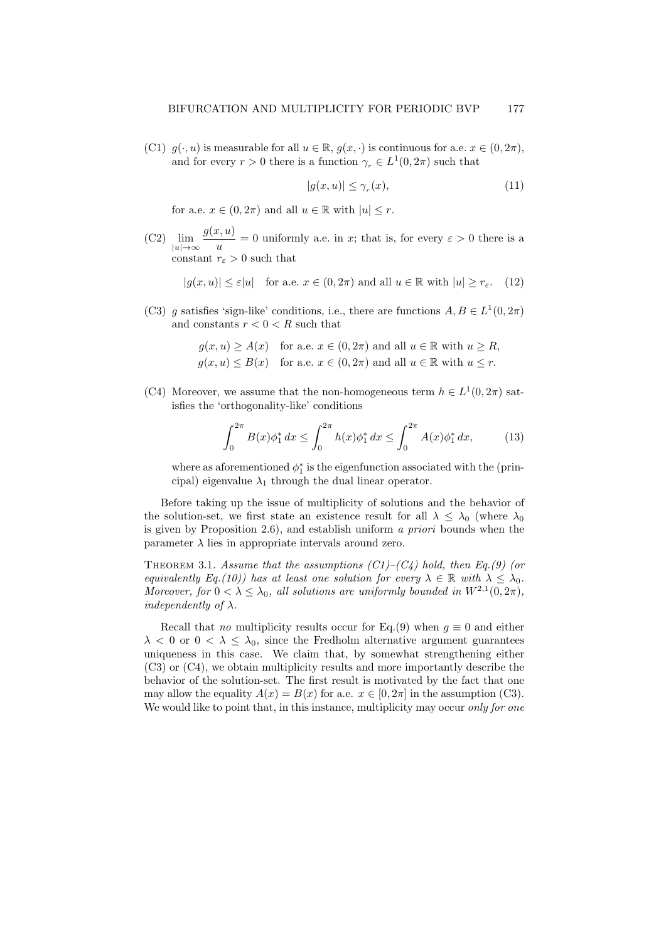(C1)  $g(\cdot, u)$  is measurable for all  $u \in \mathbb{R}$ ,  $g(x, \cdot)$  is continuous for a.e.  $x \in (0, 2\pi)$ , and for every  $r > 0$  there is a function  $\gamma_r \in L^1(0, 2\pi)$  such that

$$
|g(x, u)| \le \gamma_r(x),\tag{11}
$$

for a.e.  $x \in (0, 2\pi)$  and all  $u \in \mathbb{R}$  with  $|u| \leq r$ .

 $(C2)$  lim  $|u| \rightarrow \infty$  $g(x,u)$  $\frac{\partial u}{\partial u} = 0$  uniformly a.e. in x; that is, for every  $\varepsilon > 0$  there is a constant  $r_{\varepsilon} > 0$  such that

$$
|g(x, u)| \le \varepsilon |u| \quad \text{for a.e. } x \in (0, 2\pi) \text{ and all } u \in \mathbb{R} \text{ with } |u| \ge r_{\varepsilon}. \tag{12}
$$

(C3) g satisfies 'sign-like' conditions, i.e., there are functions  $A, B \in L^1(0, 2\pi)$ and constants  $r < 0 < R$  such that

$$
g(x, u) \ge A(x) \text{ for a.e. } x \in (0, 2\pi) \text{ and all } u \in \mathbb{R} \text{ with } u \ge R,
$$
  

$$
g(x, u) \le B(x) \text{ for a.e. } x \in (0, 2\pi) \text{ and all } u \in \mathbb{R} \text{ with } u \le r.
$$

(C4) Moreover, we assume that the non-homogeneous term  $h \in L^1(0, 2\pi)$  satisfies the 'orthogonality-like' conditions

$$
\int_0^{2\pi} B(x)\phi_1^* dx \le \int_0^{2\pi} h(x)\phi_1^* dx \le \int_0^{2\pi} A(x)\phi_1^* dx, \tag{13}
$$

where as aforementioned  $\phi_1^*$  is the eigenfunction associated with the (principal) eigenvalue  $\lambda_1$  through the dual linear operator.

Before taking up the issue of multiplicity of solutions and the behavior of the solution-set, we first state an existence result for all  $\lambda \leq \lambda_0$  (where  $\lambda_0$ ) is given by Proposition 2.6), and establish uniform a priori bounds when the parameter  $\lambda$  lies in appropriate intervals around zero.

THEOREM 3.1. Assume that the assumptions  $(C1)$ – $(C4)$  hold, then Eq.(9) (or equivalently Eq.(10)) has at least one solution for every  $\lambda \in \mathbb{R}$  with  $\lambda \leq \lambda_0$ . Moreover, for  $0 < \lambda \leq \lambda_0$ , all solutions are uniformly bounded in  $W^{2,1}(0, 2\pi)$ , independently of  $\lambda$ .

Recall that *no* multiplicity results occur for Eq.(9) when  $g \equiv 0$  and either  $\lambda$  < 0 or  $0 \leq \lambda \leq \lambda_0$ , since the Fredholm alternative argument guarantees uniqueness in this case. We claim that, by somewhat strengthening either (C3) or (C4), we obtain multiplicity results and more importantly describe the behavior of the solution-set. The first result is motivated by the fact that one may allow the equality  $A(x) = B(x)$  for a.e.  $x \in [0, 2\pi]$  in the assumption (C3). We would like to point that, in this instance, multiplicity may occur only for one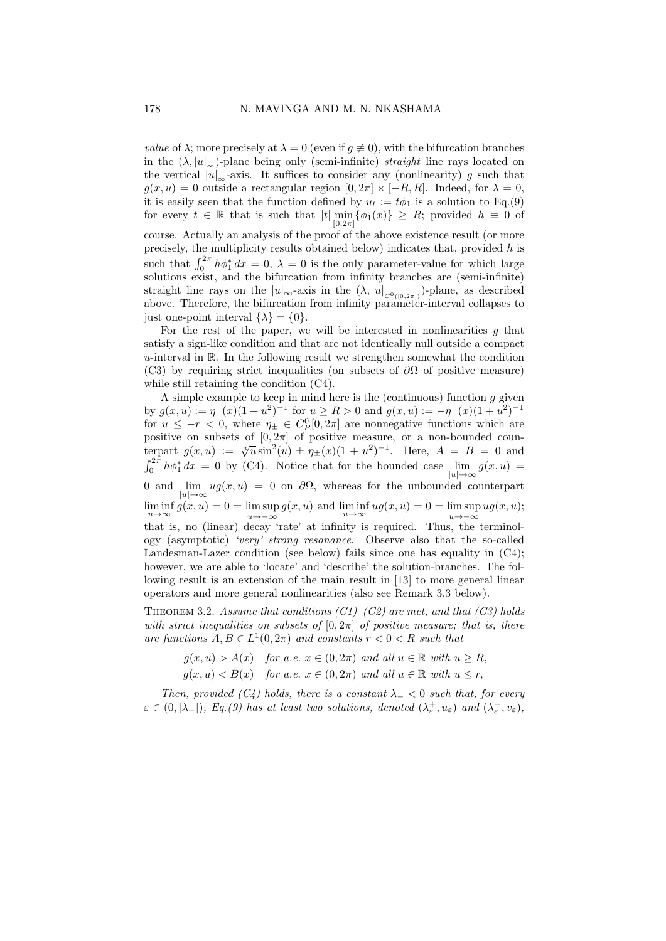*value* of  $\lambda$ ; more precisely at  $\lambda = 0$  (even if  $g \neq 0$ ), with the bifurcation branches in the  $(\lambda, |u|_{\infty})$ -plane being only (semi-infinite) *straight* line rays located on the vertical  $|u|_{\infty}$ -axis. It suffices to consider any (nonlinearity) g such that  $g(x, u) = 0$  outside a rectangular region  $[0, 2\pi] \times [-R, R]$ . Indeed, for  $\lambda = 0$ , it is easily seen that the function defined by  $u_t := t\phi_1$  is a solution to Eq.(9) for every  $t \in \mathbb{R}$  that is such that  $|t| \min_{0 \leq x \leq t} {\{\phi_1(x)\}} \geq R$ ; provided  $h \equiv 0$  of  $[0.2\pi]$ course. Actually an analysis of the proof of the above existence result (or more precisely, the multiplicity results obtained below) indicates that, provided  $h$  is such that  $\int_0^{2\pi} h \phi_1^* dx = 0$ ,  $\lambda = 0$  is the only parameter-value for which large solutions exist, and the bifurcation from infinity branches are (semi-infinite) straight line rays on the  $|u|_{\infty}$ -axis in the  $(\lambda, |u|_{C^{0}([0, 2\pi])})$ -plane, as described above. Therefore, the bifurcation from infinity parameter-interval collapses to just one-point interval  $\{\lambda\} = \{0\}.$ 

For the rest of the paper, we will be interested in nonlinearities  $g$  that satisfy a sign-like condition and that are not identically null outside a compact u-interval in  $\mathbb{R}$ . In the following result we strengthen somewhat the condition (C3) by requiring strict inequalities (on subsets of  $\partial\Omega$  of positive measure) while still retaining the condition (C4).

A simple example to keep in mind here is the (continuous) function  $g$  given by  $g(x, u) := \eta_+(x)(1 + u^2)^{-1}$  for  $u \ge R > 0$  and  $g(x, u) := -\eta_-(x)(1 + u^2)^{-1}$ for  $u \leq -r < 0$ , where  $\eta_{\pm} \in C_P^0[0, 2\pi]$  are nonnegative functions which are positive on subsets of  $[0, 2\pi]$  of positive measure, or a non-bounded counterpart  $g(x, u) := \sqrt[3]{u} \sin^2(u) \pm \eta_{\pm}(x) (1 + u^2)^{-1}$ . Here,  $A = B = 0$  and  $\int_0^{2\pi} h \phi_1^* dx = 0$  by (C4). Notice that for the bounded case  $\lim_{|u| \to \infty} g(x, u) =$  $|u| \rightarrow \infty$ 0 and lim  $|u| \rightarrow \infty$  $ug(x, u) = 0$  on  $\partial\Omega$ , whereas for the unbounded counterpart  $\liminf_{u \to \infty} g(x, u) = 0 = \limsup_{u \to -\infty}$  $u \rightarrow -\infty$  $g(x, u)$  and  $\liminf_{u \to \infty} u g(x, u) = 0 = \limsup_{u \to -\infty}$  $u \rightarrow -\infty$  $ug(x, u);$ that is, no (linear) decay 'rate' at infinity is required. Thus, the terminology (asymptotic) 'very' strong resonance. Observe also that the so-called Landesman-Lazer condition (see below) fails since one has equality in (C4); however, we are able to 'locate' and 'describe' the solution-branches. The following result is an extension of the main result in [13] to more general linear operators and more general nonlinearities (also see Remark 3.3 below).

THEOREM 3.2. Assume that conditions  $(C1)$ – $(C2)$  are met, and that  $(C3)$  holds with strict inequalities on subsets of  $[0, 2\pi]$  of positive measure; that is, there are functions  $A, B \in L^1(0, 2\pi)$  and constants  $r < 0 < R$  such that

> $g(x, u) > A(x)$  for a.e.  $x \in (0, 2\pi)$  and all  $u \in \mathbb{R}$  with  $u \ge R$ ,  $g(x, u) < B(x)$  for a.e.  $x \in (0, 2\pi)$  and all  $u \in \mathbb{R}$  with  $u \leq r$ .

Then, provided (C4) holds, there is a constant  $\lambda_-\leq 0$  such that, for every  $\varepsilon \in (0, |\lambda_-|)$ , Eq.(9) has at least two solutions, denoted  $(\lambda_{\varepsilon}^+, u_{\varepsilon})$  and  $(\lambda_{\varepsilon}^-, v_{\varepsilon})$ ,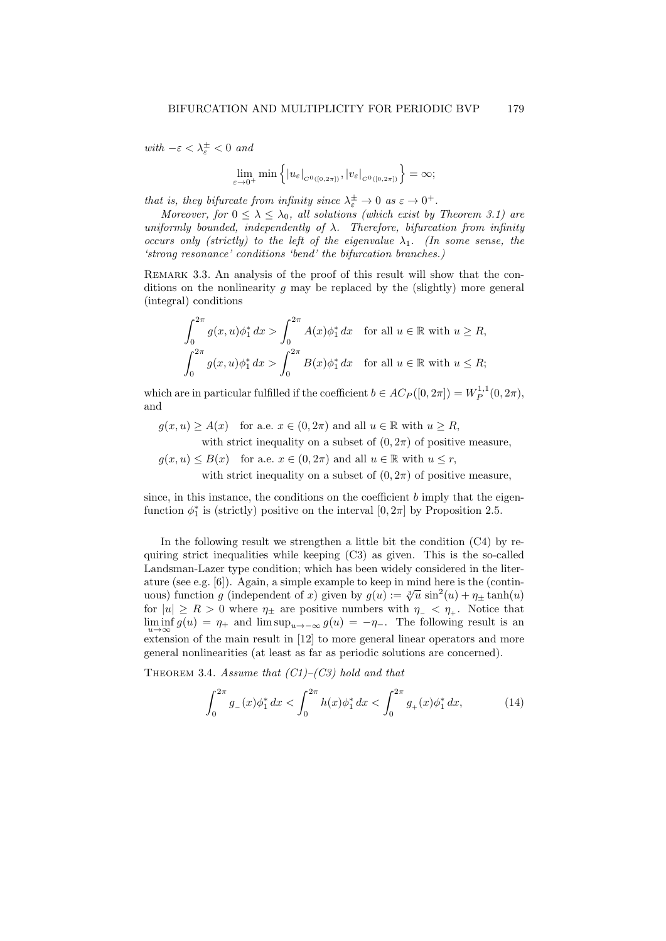with  $-\varepsilon < \lambda_{\varepsilon}^{\pm} < 0$  and

$$
\lim_{\varepsilon \to 0^+} \min \left\{ |u_{\varepsilon}|_{C^0([0,2\pi])}, |v_{\varepsilon}|_{C^0([0,2\pi])} \right\} = \infty;
$$

that is, they bifurcate from infinity since  $\lambda_{\varepsilon}^{\pm} \to 0$  as  $\varepsilon \to 0^{+}$ .

Moreover, for  $0 \leq \lambda \leq \lambda_0$ , all solutions (which exist by Theorem 3.1) are uniformly bounded, independently of  $\lambda$ . Therefore, bifurcation from infinity occurs only (strictly) to the left of the eigenvalue  $\lambda_1$ . (In some sense, the 'strong resonance' conditions 'bend' the bifurcation branches.)

Remark 3.3. An analysis of the proof of this result will show that the conditions on the nonlinearity  $g$  may be replaced by the (slightly) more general (integral) conditions

$$
\int_0^{2\pi} g(x, u)\phi_1^* dx > \int_0^{2\pi} A(x)\phi_1^* dx \text{ for all } u \in \mathbb{R} \text{ with } u \ge R,
$$
  

$$
\int_0^{2\pi} g(x, u)\phi_1^* dx > \int_0^{2\pi} B(x)\phi_1^* dx \text{ for all } u \in \mathbb{R} \text{ with } u \le R;
$$

which are in particular fulfilled if the coefficient  $b \in AC_P([0, 2\pi]) = W_P^{1,1}(0, 2\pi)$ , and

 $g(x, u) \ge A(x)$  for a.e.  $x \in (0, 2\pi)$  and all  $u \in \mathbb{R}$  with  $u \ge R$ ,

with strict inequality on a subset of  $(0, 2\pi)$  of positive measure,

 $g(x, u) \leq B(x)$  for a.e.  $x \in (0, 2\pi)$  and all  $u \in \mathbb{R}$  with  $u \leq r$ , with strict inequality on a subset of  $(0, 2\pi)$  of positive measure,

since, in this instance, the conditions on the coefficient  $b$  imply that the eigenfunction  $\phi_1^*$  is (strictly) positive on the interval  $[0, 2\pi]$  by Proposition 2.5.

In the following result we strengthen a little bit the condition  $(C4)$  by requiring strict inequalities while keeping (C3) as given. This is the so-called Landsman-Lazer type condition; which has been widely considered in the literature (see e.g. [6]). Again, a simple example to keep in mind here is the (continuous) function g (independent of x) given by  $g(u) := \sqrt[3]{u} \sin^2(u) + \eta_{\pm} \tanh(u)$ for  $|u| \ge R > 0$  where  $\eta_{\pm}$  are positive numbers with  $\eta_{-} < \eta_{+}$ . Notice that  $\liminf_{u \to \infty} g(u) = \eta_+$  and  $\limsup_{u \to -\infty} g(u) = -\eta_-$ . The following result is an  $u \to \infty$  extension of the main result in [12] to more general linear operators and more general nonlinearities (at least as far as periodic solutions are concerned).

THEOREM 3.4. Assume that  $(C1)$ – $(C3)$  hold and that

$$
\int_0^{2\pi} g_-(x)\phi_1^* dx < \int_0^{2\pi} h(x)\phi_1^* dx < \int_0^{2\pi} g_+(x)\phi_1^* dx, \tag{14}
$$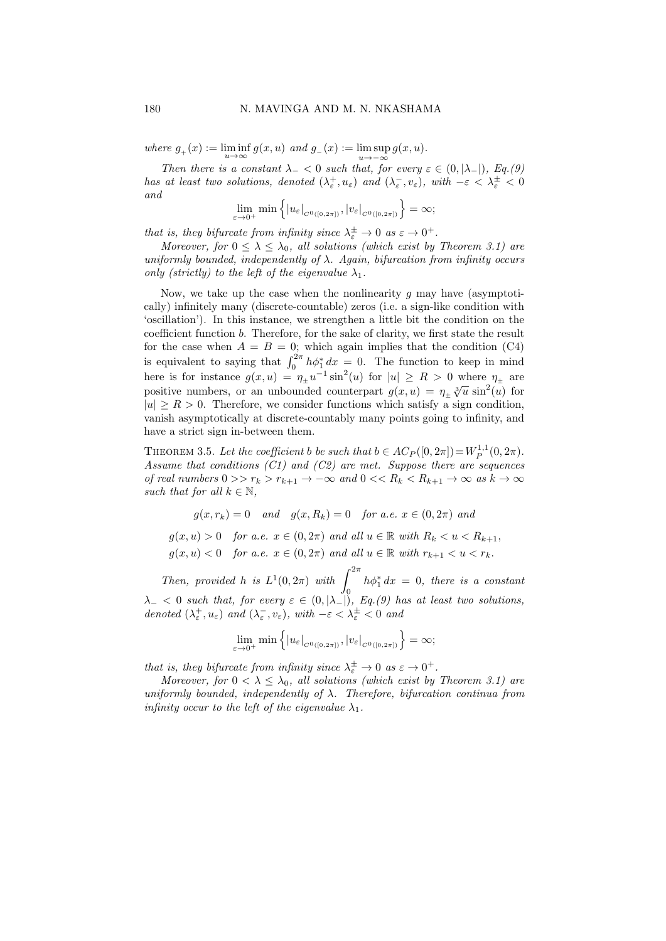where  $g_+(x) := \liminf_{u \to \infty} g(x, u)$  and  $g_-(x) := \limsup_{u \to -\infty}$  $g(x, u)$ .

 $u \rightarrow -\infty$ Then there is a constant  $\lambda_{-} < 0$  such that, for every  $\varepsilon \in (0, |\lambda_{-}|)$ , Eq.(9) has at least two solutions, denoted  $(\lambda_{\varepsilon}^+, u_{\varepsilon})$  and  $(\lambda_{\varepsilon}^-, v_{\varepsilon})$ , with  $-\varepsilon < \lambda_{\varepsilon}^{\pm} < 0$ and

$$
\lim_{\varepsilon \to 0^+} \min \left\{ |u_{\varepsilon}|_{C^0([0,2\pi])}, |v_{\varepsilon}|_{C^0([0,2\pi])} \right\} = \infty;
$$

that is, they bifurcate from infinity since  $\lambda_{\varepsilon}^{\pm} \to 0$  as  $\varepsilon \to 0^+$ .

Moreover, for  $0 \leq \lambda \leq \lambda_0$ , all solutions (which exist by Theorem 3.1) are uniformly bounded, independently of  $\lambda$ . Again, bifurcation from infinity occurs only (strictly) to the left of the eigenvalue  $\lambda_1$ .

Now, we take up the case when the nonlinearity  $q$  may have (asymptotically) infinitely many (discrete-countable) zeros (i.e. a sign-like condition with 'oscillation'). In this instance, we strengthen a little bit the condition on the coefficient function b. Therefore, for the sake of clarity, we first state the result for the case when  $A = B = 0$ ; which again implies that the condition (C4) is equivalent to saying that  $\int_0^{2\pi} h \phi_1^* dx = 0$ . The function to keep in mind here is for instance  $g(x, u) = \eta_{\pm} u^{-1} \sin^2(u)$  for  $|u| \ge R > 0$  where  $\eta_{\pm}$  are positive numbers, or an unbounded counterpart  $g(x, u) = \eta_{\pm} \sqrt[3]{u} \sin^2(u)$  for  $|u| \ge R > 0$ . Therefore, we consider functions which satisfy a sign condition, vanish asymptotically at discrete-countably many points going to infinity, and have a strict sign in-between them.

THEOREM 3.5. Let the coefficient b be such that  $b \in AC_P([0, 2\pi]) = W_P^{1,1}(0, 2\pi)$ . Assume that conditions  $(C1)$  and  $(C2)$  are met. Suppose there are sequences of real numbers  $0 >> r_k > r_{k+1} \to -\infty$  and  $0 << R_k < R_{k+1} \to \infty$  as  $k \to \infty$ such that for all  $k \in \mathbb{N}$ ,

$$
g(x,r_k) = 0 \quad and \quad g(x,R_k) = 0 \quad \text{for a.e. } x \in (0,2\pi) \text{ and}
$$

 $g(x, u) > 0$  for a.e.  $x \in (0, 2\pi)$  and all  $u \in \mathbb{R}$  with  $R_k < u < R_{k+1}$ ,  $g(x, u) < 0$  for a.e.  $x \in (0, 2\pi)$  and all  $u \in \mathbb{R}$  with  $r_{k+1} < u < r_k$ .

Then, provided h is  $L^1(0, 2\pi)$  with  $\int^{2\pi}$  $\ddot{\mathrm{o}}$  $h\phi_1^* dx = 0$ , there is a constant  $\lambda_{-} < 0$  such that, for every  $\varepsilon \in (0, |\lambda_{-}|)$ , Eq.(9) has at least two solutions, denoted  $(\lambda_{\varepsilon}^+, u_{\varepsilon})$  and  $(\lambda_{\varepsilon}^-, v_{\varepsilon})$ , with  $-\varepsilon < \lambda_{\varepsilon}^{\pm} < 0$  and

$$
\lim_{\varepsilon \to 0^+} \min \left\{ |u_{\varepsilon}|_{C^0([0,2\pi])}, |v_{\varepsilon}|_{C^0([0,2\pi])} \right\} = \infty;
$$

that is, they bifurcate from infinity since  $\lambda_{\varepsilon}^{\pm} \to 0$  as  $\varepsilon \to 0^{+}$ .

Moreover, for  $0 < \lambda \leq \lambda_0$ , all solutions (which exist by Theorem 3.1) are uniformly bounded, independently of  $\lambda$ . Therefore, bifurcation continua from infinity occur to the left of the eigenvalue  $\lambda_1$ .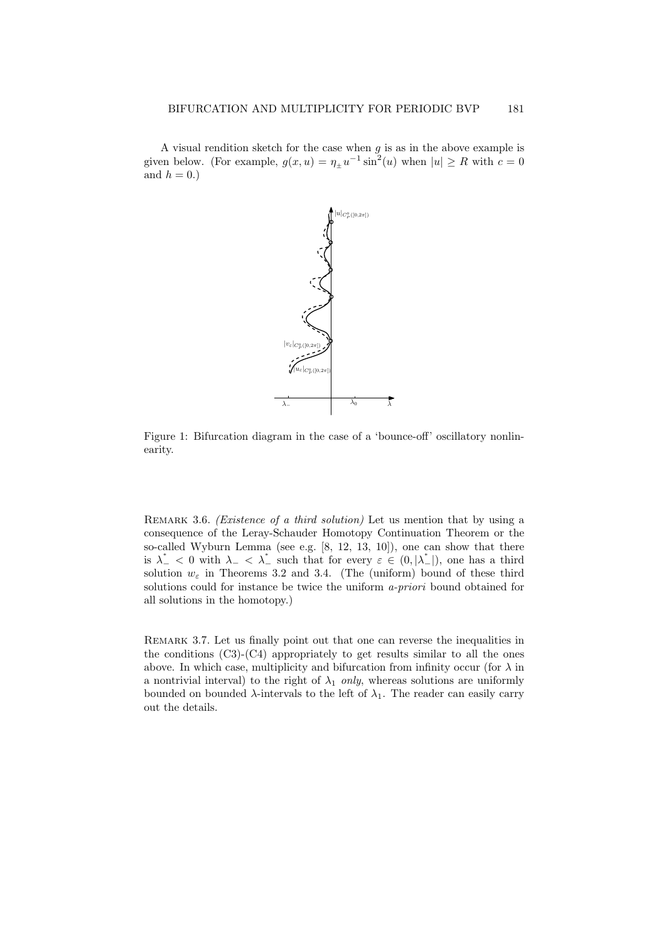A visual rendition sketch for the case when  $g$  is as in the above example is given below. (For example,  $g(x, u) = \eta_{\pm} u^{-1} \sin^2(u)$  when  $|u| \ge R$  with  $c = 0$ and  $h = 0.$ )



Figure 1: Bifurcation diagram in the case of a 'bounce-off' oscillatory nonlinearity.

REMARK 3.6. *(Existence of a third solution)* Let us mention that by using a consequence of the Leray-Schauder Homotopy Continuation Theorem or the so-called Wyburn Lemma (see e.g. [8, 12, 13, 10]), one can show that there is  $\lambda_{-}^* < 0$  with  $\lambda_{-} < \lambda_{-}^*$  such that for every  $\varepsilon \in (0, |\lambda_{-}^*|)$ , one has a third solution  $w_{\varepsilon}$  in Theorems 3.2 and 3.4. (The (uniform) bound of these third solutions could for instance be twice the uniform a-priori bound obtained for all solutions in the homotopy.)

Remark 3.7. Let us finally point out that one can reverse the inequalities in the conditions  $(C3)-(C4)$  appropriately to get results similar to all the ones above. In which case, multiplicity and bifurcation from infinity occur (for  $\lambda$  in a nontrivial interval) to the right of  $\lambda_1$  only, whereas solutions are uniformly bounded on bounded  $\lambda$ -intervals to the left of  $\lambda_1$ . The reader can easily carry out the details.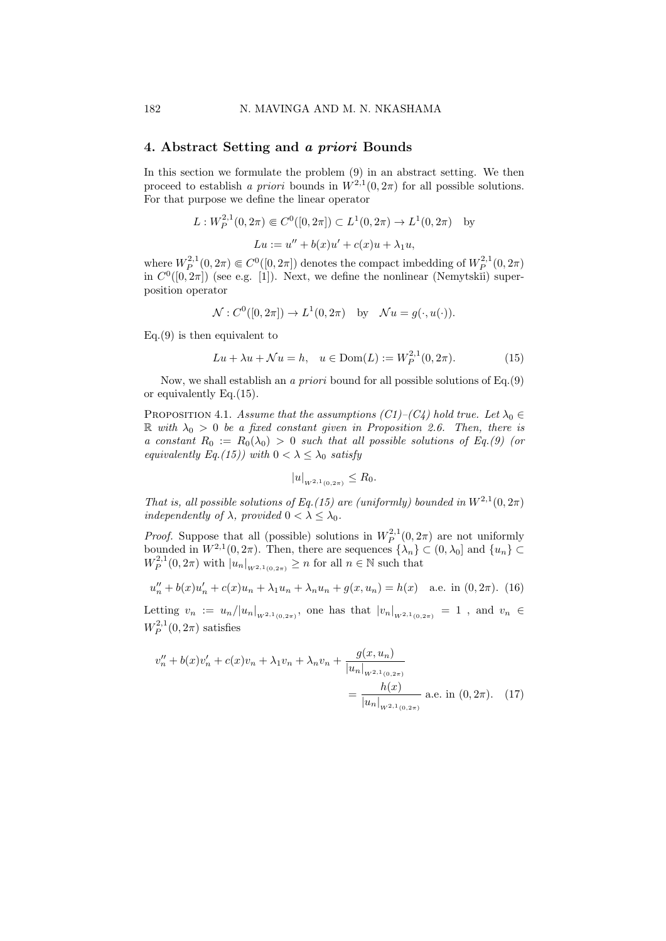### 4. Abstract Setting and a priori Bounds

In this section we formulate the problem  $(9)$  in an abstract setting. We then proceed to establish a priori bounds in  $W^{2,1}(0, 2\pi)$  for all possible solutions. For that purpose we define the linear operator

$$
L: W_P^{2,1}(0, 2\pi) \in C^0([0, 2\pi]) \subset L^1(0, 2\pi) \to L^1(0, 2\pi)
$$
 by  

$$
Lu := u'' + b(x)u' + c(x)u + \lambda_1 u,
$$

where  $W_P^{2,1}(0, 2\pi) \in C^0([0, 2\pi])$  denotes the compact imbedding of  $W_P^{2,1}(0, 2\pi)$ in  $C^0([0, 2\pi])$  (see e.g. [1]). Next, we define the nonlinear (Nemytskii) superposition operator

$$
\mathcal{N}: C^0([0, 2\pi]) \to L^1(0, 2\pi) \text{ by } \mathcal{N}u = g(\cdot, u(\cdot)).
$$

 $Eq.(9)$  is then equivalent to

$$
Lu + \lambda u + \mathcal{N}u = h, \quad u \in \text{Dom}(L) := W_P^{2,1}(0, 2\pi).
$$
 (15)

Now, we shall establish an a priori bound for all possible solutions of Eq.(9) or equivalently Eq.(15).

PROPOSITION 4.1. Assume that the assumptions  $(C1)–(C4)$  hold true. Let  $\lambda_0 \in$  $\mathbb R$  with  $\lambda_0 > 0$  be a fixed constant given in Proposition 2.6. Then, there is a constant  $R_0 := R_0(\lambda_0) > 0$  such that all possible solutions of Eq.(9) (or equivalently Eq.(15)) with  $0 < \lambda \leq \lambda_0$  satisfy

$$
|u|_{W^{2,1}(0,2\pi)} \leq R_0.
$$

That is, all possible solutions of Eq.(15) are (uniformly) bounded in  $W^{2,1}(0, 2\pi)$ independently of  $\lambda$ , provided  $0 < \lambda \leq \lambda_0$ .

*Proof.* Suppose that all (possible) solutions in  $W_P^{2,1}(0,2\pi)$  are not uniformly bounded in  $W^{2,1}(0, 2\pi)$ . Then, there are sequences  $\{\lambda_n\} \subset (0, \lambda_0]$  and  $\{u_n\} \subset \mathbb{R}^2$  $W_P^{2,1}(0,2\pi)$  with  $|u_n|_{W^{2,1}(0,2\pi)} \geq n$  for all  $n \in \mathbb{N}$  such that

$$
u''_n + b(x)u'_n + c(x)u_n + \lambda_1 u_n + \lambda_n u_n + g(x, u_n) = h(x) \quad \text{a.e. in } (0, 2\pi). \tag{16}
$$

Letting  $v_n := u_n/|u_n|_{W^{2,1}(0,2\pi)}$ , one has that  $|v_n|_{W^{2,1}(0,2\pi)} = 1$ , and  $v_n \in$  $W_P^{2,1}(0,2\pi)$  satisfies

$$
v''_n + b(x)v'_n + c(x)v_n + \lambda_1 v_n + \lambda_n v_n + \frac{g(x, u_n)}{|u_n|_{W^{2,1}(0,2\pi)}}\n= \frac{h(x)}{|u_n|_{W^{2,1}(0,2\pi)}} \text{ a.e. in } (0, 2\pi). \tag{17}
$$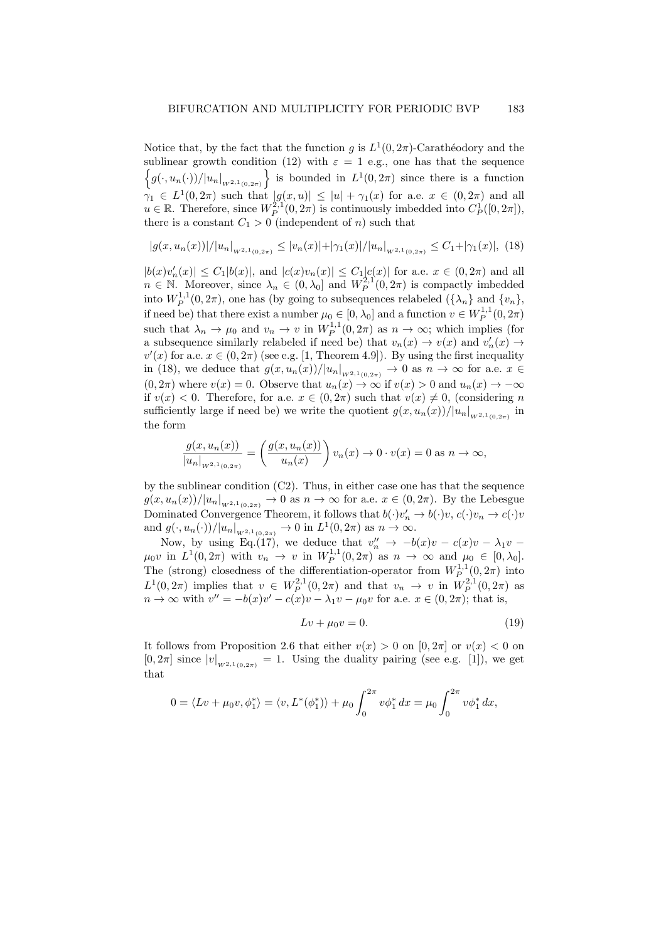Notice that, by the fact that the function g is  $L^1(0, 2\pi)$ -Carathéodory and the sublinear growth condition (12) with  $\varepsilon = 1$  e.g., one has that the sequence  $\left\{g(\cdot, u_n(\cdot))/|u_n|_{W^{2,1}(0,2\pi)}\right\}$  is bounded in  $L^1(0,2\pi)$  since there is a function  $\gamma_1 \in L^1(0, 2\pi)$  such that  $|g(x, u)| \leq |u| + \gamma_1(x)$  for a.e.  $x \in (0, 2\pi)$  and all  $u \in \mathbb{R}$ . Therefore, since  $W_P^{2,1}(0, 2\pi)$  is continuously imbedded into  $C_P^1([0, 2\pi])$ , there is a constant  $C_1 > 0$  (independent of n) such that

$$
|g(x, u_n(x))|/|u_n|_{W^{2,1}(0,2\pi)} \le |v_n(x)|+|\gamma_1(x)|/|u_n|_{W^{2,1}(0,2\pi)} \le C_1+|\gamma_1(x)|, \tag{18}
$$

 $|b(x)v'_n(x)| \leq C_1 |b(x)|$ , and  $|c(x)v_n(x)| \leq C_1 |c(x)|$  for a.e.  $x \in (0, 2\pi)$  and all  $n \in \mathbb{N}$ . Moreover, since  $\lambda_n \in (0, \lambda_0]$  and  $W_P^{2,1}(0, 2\pi)$  is compactly imbedded into  $W_P^{1,1}(0, 2\pi)$ , one has (by going to subsequences relabeled  $({\lambda_n}$  and  ${v_n}$ ), if need be) that there exist a number  $\mu_0 \in [0, \lambda_0]$  and a function  $v \in W^{1,1}_P(0, 2\pi)$ such that  $\lambda_n \to \mu_0$  and  $v_n \to v$  in  $W_P^{1,1}(0, 2\pi)$  as  $n \to \infty$ ; which implies (for a subsequence similarly relabeled if need be) that  $v_n(x) \to v(x)$  and  $v'_n(x) \to v(x)$  $v'(x)$  for a.e.  $x \in (0, 2\pi)$  (see e.g. [1, Theorem 4.9]). By using the first inequality in (18), we deduce that  $g(x, u_n(x))/|u_n|_{W^{2,1}(0,2\pi)} \to 0$  as  $n \to \infty$  for a.e.  $x \in$  $(0, 2\pi)$  where  $v(x) = 0$ . Observe that  $u_n(x) \to \infty$  if  $v(x) > 0$  and  $u_n(x) \to -\infty$ if  $v(x) < 0$ . Therefore, for a.e.  $x \in (0, 2\pi)$  such that  $v(x) \neq 0$ , (considering n sufficiently large if need be) we write the quotient  $g(x, u_n(x))/|u_n|_{W^{2,1}(0,2\pi)}$  in the form

$$
\frac{g(x, u_n(x))}{|u_n|_{w^{2,1}(0,2\pi)}} = \left(\frac{g(x, u_n(x))}{u_n(x)}\right) v_n(x) \to 0 \cdot v(x) = 0 \text{ as } n \to \infty,
$$

by the sublinear condition  $(C2)$ . Thus, in either case one has that the sequence  $g(x, u_n(x))/|u_n|_{W^{2,1}(0,2\pi)} \to 0$  as  $n \to \infty$  for a.e.  $x \in (0, 2\pi)$ . By the Lebesgue Dominated Convergence Theorem, it follows that  $b(\cdot)v'_n \to b(\cdot)v, c(\cdot)v_n \to c(\cdot)v$ and  $g(\cdot, u_n(\cdot))/|u_n|_{W^{2,1}(0,2\pi)} \to 0$  in  $L^1(0, 2\pi)$  as  $n \to \infty$ .

Now, by using Eq.(17), we deduce that  $v''_n \to -b(x)v - c(x)v - \lambda_1v$  $\mu_0 v$  in  $L^1(0, 2\pi)$  with  $v_n \to v$  in  $W_P^{1,1}(0, 2\pi)$  as  $n \to \infty$  and  $\mu_0 \in [0, \lambda_0]$ . The (strong) closedness of the differentiation-operator from  $W^{1,1}_{P} (0, 2\pi)$  into  $L^1(0, 2π)$  implies that  $v ∈ W^{2,1}_P(0, 2π)$  and that  $v_n → v$  in  $W^{2,1}_P(0, 2π)$  as  $n \to \infty$  with  $v'' = -b(x)v' - c(x)v - \lambda_1v - \mu_0v$  for a.e.  $x \in (0, 2\pi)$ ; that is,

$$
Lv + \mu_0 v = 0.\t\t(19)
$$

It follows from Proposition 2.6 that either  $v(x) > 0$  on  $[0, 2\pi]$  or  $v(x) < 0$  on  $[0, 2\pi]$  since  $|v|_{W^{2,1}(0,2\pi)} = 1$ . Using the duality pairing (see e.g. [1]), we get that

$$
0 = \langle Lv + \mu_0 v, \phi_1^* \rangle = \langle v, L^*(\phi_1^*) \rangle + \mu_0 \int_0^{2\pi} v \phi_1^* dx = \mu_0 \int_0^{2\pi} v \phi_1^* dx,
$$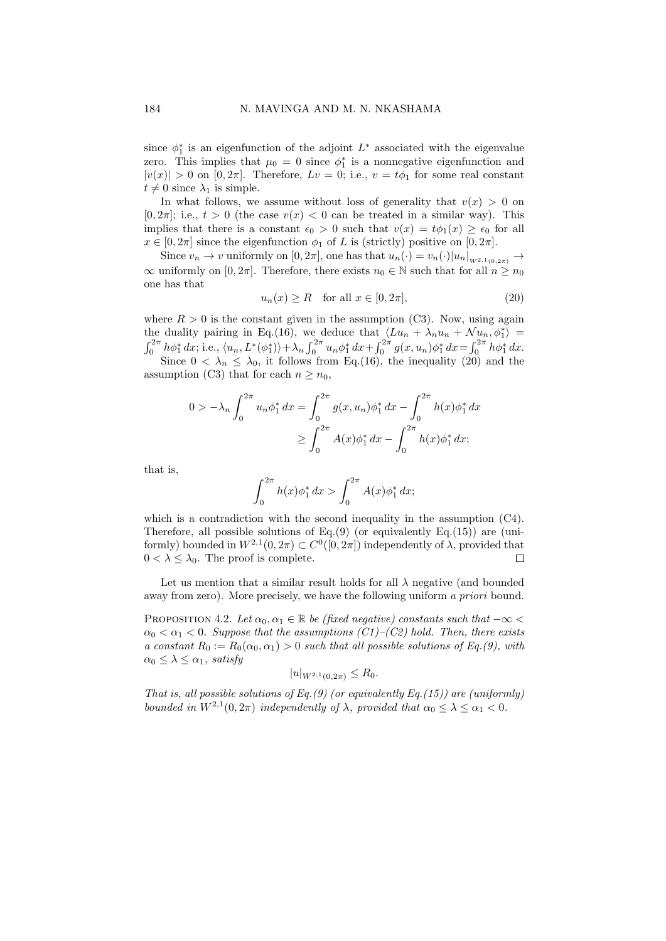since  $\phi_1^*$  is an eigenfunction of the adjoint  $L^*$  associated with the eigenvalue zero. This implies that  $\mu_0 = 0$  since  $\phi_1^*$  is a nonnegative eigenfunction and  $|v(x)| > 0$  on  $[0, 2\pi]$ . Therefore,  $Lv = 0$ ; i.e.,  $v = t\phi_1$  for some real constant  $t \neq 0$  since  $\lambda_1$  is simple.

In what follows, we assume without loss of generality that  $v(x) > 0$  on  $[0, 2\pi]$ ; i.e.,  $t > 0$  (the case  $v(x) < 0$  can be treated in a similar way). This implies that there is a constant  $\epsilon_0 > 0$  such that  $v(x) = t\phi_1(x) \geq \epsilon_0$  for all  $x \in [0, 2\pi]$  since the eigenfunction  $\phi_1$  of L is (strictly) positive on  $[0, 2\pi]$ .

Since  $v_n \to v$  uniformly on  $[0, 2\pi]$ , one has that  $u_n(\cdot) = v_n(\cdot)|u_n|_{W^{2,1}(0,2\pi)} \to$  $\infty$  uniformly on [0, 2π]. Therefore, there exists  $n_0 \in \mathbb{N}$  such that for all  $n \geq n_0$ one has that

$$
u_n(x) \ge R \quad \text{for all } x \in [0, 2\pi], \tag{20}
$$

where  $R > 0$  is the constant given in the assumption (C3). Now, using again the duality pairing in Eq.(16), we deduce that  $\langle Lu_n + \lambda_n u_n + \mathcal{N}u_n, \phi_1^* \rangle =$ <br> $\int_0^{2\pi} h \phi_1^* dx$ ; i.e.,  $\langle u_n, L^*(\phi_1^*) \rangle + \lambda_n \int_0^{2\pi} u_n \phi_1^* dx + \int_0^{2\pi} g(x, u_n) \phi_1^* dx = \int_0^{2\pi} h \phi_1^* dx$ . Since  $0 < \lambda_n \leq \lambda_0$ , it follows from Eq.(16), the inequality (20) and the

assumption (C3) that for each  $n \geq n_0$ ,

$$
0 > -\lambda_n \int_0^{2\pi} u_n \phi_1^* dx = \int_0^{2\pi} g(x, u_n) \phi_1^* dx - \int_0^{2\pi} h(x) \phi_1^* dx
$$
  

$$
\geq \int_0^{2\pi} A(x) \phi_1^* dx - \int_0^{2\pi} h(x) \phi_1^* dx;
$$

that is,

$$
\int_0^{2\pi} h(x)\phi_1^* dx > \int_0^{2\pi} A(x)\phi_1^* dx;
$$

which is a contradiction with the second inequality in the assumption  $(C4)$ . Therefore, all possible solutions of Eq. $(9)$  (or equivalently Eq. $(15)$ ) are (uniformly) bounded in  $W^{2,1}(0, 2\pi) \subset C^0([0, 2\pi])$  independently of  $\lambda$ , provided that  $0 < \lambda \leq \lambda_0$ . The proof is complete.  $\Box$ 

Let us mention that a similar result holds for all  $\lambda$  negative (and bounded away from zero). More precisely, we have the following uniform a priori bound.

PROPOSITION 4.2. Let  $\alpha_0, \alpha_1 \in \mathbb{R}$  be (fixed negative) constants such that  $-\infty$  $\alpha_0 < \alpha_1 < 0$ . Suppose that the assumptions (C1)–(C2) hold. Then, there exists a constant  $R_0 := R_0(\alpha_0, \alpha_1) > 0$  such that all possible solutions of Eq.(9), with  $\alpha_0 \leq \lambda \leq \alpha_1$ , satisfy

$$
|u|_{W^{2,1}(0,2\pi)} \leq R_0.
$$

That is, all possible solutions of Eq.(9) (or equivalently Eq.(15)) are (uniformly) bounded in  $W^{2,1}(0, 2\pi)$  independently of  $\lambda$ , provided that  $\alpha_0 \leq \lambda \leq \alpha_1 < 0$ .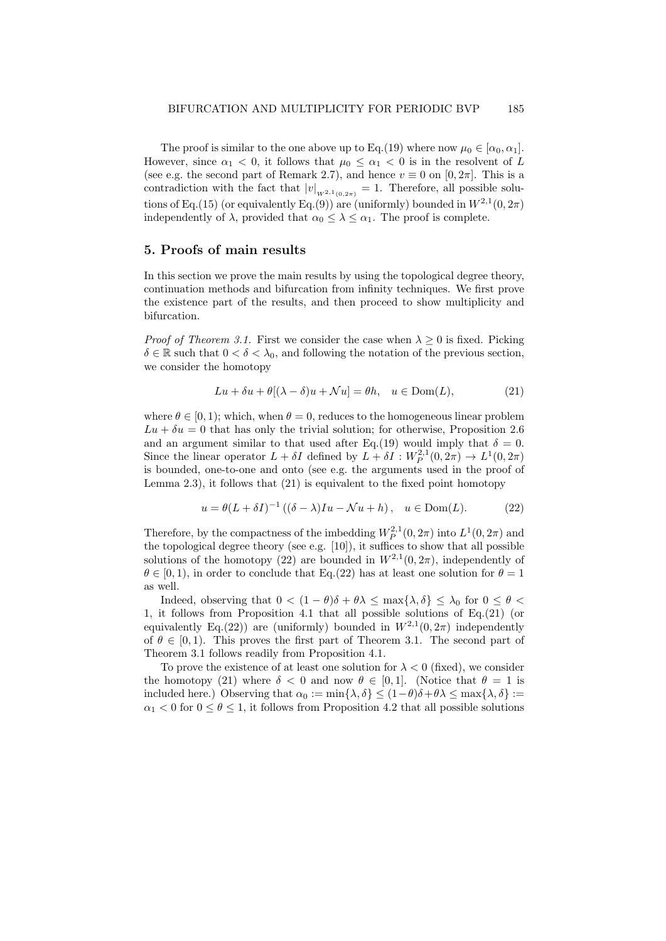The proof is similar to the one above up to Eq.(19) where now  $\mu_0 \in [\alpha_0, \alpha_1]$ . However, since  $\alpha_1 < 0$ , it follows that  $\mu_0 \leq \alpha_1 < 0$  is in the resolvent of L (see e.g. the second part of Remark 2.7), and hence  $v \equiv 0$  on  $[0, 2\pi]$ . This is a contradiction with the fact that  $|v|_{W^{2,1}(0,2\pi)} = 1$ . Therefore, all possible solutions of Eq.(15) (or equivalently Eq.(9)) are (uniformly) bounded in  $W^{2,1}(0, 2\pi)$ independently of  $\lambda$ , provided that  $\alpha_0 \leq \lambda \leq \alpha_1$ . The proof is complete.

#### 5. Proofs of main results

In this section we prove the main results by using the topological degree theory, continuation methods and bifurcation from infinity techniques. We first prove the existence part of the results, and then proceed to show multiplicity and bifurcation.

*Proof of Theorem 3.1.* First we consider the case when  $\lambda \geq 0$  is fixed. Picking  $\delta \in \mathbb{R}$  such that  $0 < \delta < \lambda_0$ , and following the notation of the previous section, we consider the homotopy

$$
Lu + \delta u + \theta[(\lambda - \delta)u + \mathcal{N}u] = \theta h, \quad u \in \text{Dom}(L),
$$
 (21)

where  $\theta \in [0, 1)$ ; which, when  $\theta = 0$ , reduces to the homogeneous linear problem  $Lu + \delta u = 0$  that has only the trivial solution; for otherwise, Proposition 2.6 and an argument similar to that used after Eq.(19) would imply that  $\delta = 0$ . Since the linear operator  $L + \delta I$  defined by  $L + \delta I : W_P^{2,1}(0, 2\pi) \to L^1(0, 2\pi)$ is bounded, one-to-one and onto (see e.g. the arguments used in the proof of Lemma  $(2.3)$ , it follows that  $(21)$  is equivalent to the fixed point homotopy

$$
u = \theta(L + \delta I)^{-1} \left( (\delta - \lambda)Iu - \mathcal{N}u + h \right), \quad u \in \text{Dom}(L). \tag{22}
$$

Therefore, by the compactness of the imbedding  $W_P^{2,1}(0, 2\pi)$  into  $L^1(0, 2\pi)$  and the topological degree theory (see e.g. [10]), it suffices to show that all possible solutions of the homotopy (22) are bounded in  $W^{2,1}(0, 2\pi)$ , independently of  $\theta \in [0, 1)$ , in order to conclude that Eq.(22) has at least one solution for  $\theta = 1$ as well.

Indeed, observing that  $0 < (1 - \theta)\delta + \theta\lambda \le \max\{\lambda, \delta\} \le \lambda_0$  for  $0 \le \theta < \theta$ 1, it follows from Proposition 4.1 that all possible solutions of Eq.(21) (or equivalently Eq.(22)) are (uniformly) bounded in  $W^{2,1}(0, 2\pi)$  independently of  $\theta \in [0, 1)$ . This proves the first part of Theorem 3.1. The second part of Theorem 3.1 follows readily from Proposition 4.1.

To prove the existence of at least one solution for  $\lambda < 0$  (fixed), we consider the homotopy (21) where  $\delta < 0$  and now  $\theta \in [0, 1]$ . (Notice that  $\theta = 1$  is included here.) Observing that  $\alpha_0 := \min\{\lambda, \delta\} \le (1-\theta)\delta + \theta\lambda \le \max\{\lambda, \delta\} :=$  $\alpha_1 < 0$  for  $0 < \theta < 1$ , it follows from Proposition 4.2 that all possible solutions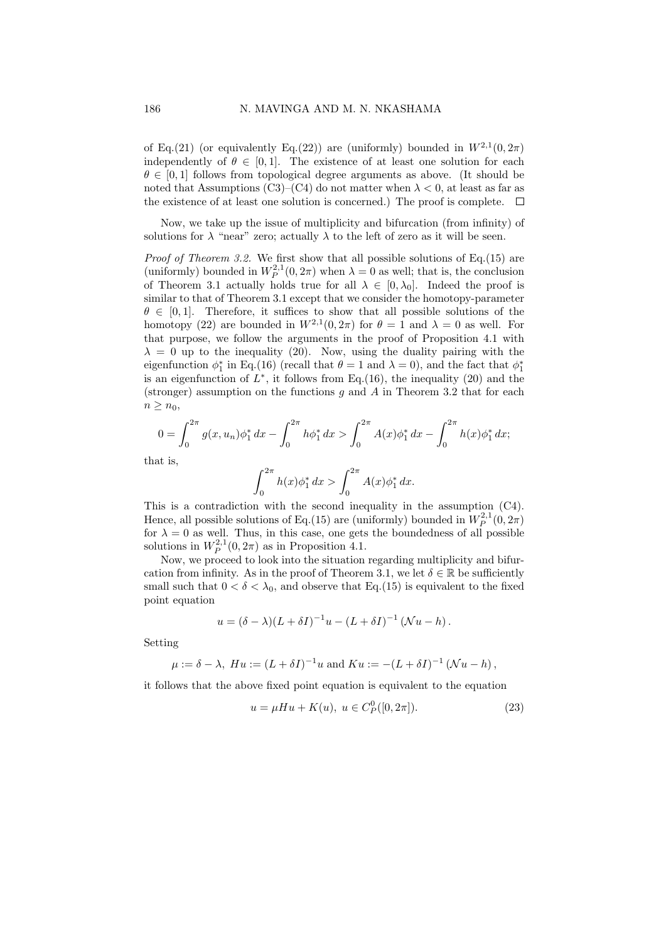of Eq.(21) (or equivalently Eq.(22)) are (uniformly) bounded in  $W^{2,1}(0, 2\pi)$ independently of  $\theta \in [0, 1]$ . The existence of at least one solution for each  $\theta \in [0, 1]$  follows from topological degree arguments as above. (It should be noted that Assumptions (C3)–(C4) do not matter when  $\lambda < 0$ , at least as far as the existence of at least one solution is concerned.) The proof is complete.  $\Box$ 

Now, we take up the issue of multiplicity and bifurcation (from infinity) of solutions for  $\lambda$  "near" zero; actually  $\lambda$  to the left of zero as it will be seen.

*Proof of Theorem 3.2.* We first show that all possible solutions of Eq.(15) are (uniformly) bounded in  $W_P^{2,1}(0, 2\pi)$  when  $\lambda = 0$  as well; that is, the conclusion of Theorem 3.1 actually holds true for all  $\lambda \in [0, \lambda_0]$ . Indeed the proof is similar to that of Theorem 3.1 except that we consider the homotopy-parameter  $\theta \in [0, 1]$ . Therefore, it suffices to show that all possible solutions of the homotopy (22) are bounded in  $W^{2,1}(0, 2\pi)$  for  $\theta = 1$  and  $\lambda = 0$  as well. For that purpose, we follow the arguments in the proof of Proposition 4.1 with  $\lambda = 0$  up to the inequality (20). Now, using the duality pairing with the eigenfunction  $\phi_1^*$  in Eq.(16) (recall that  $\theta = 1$  and  $\lambda = 0$ ), and the fact that  $\phi_1^*$ is an eigenfunction of  $L^*$ , it follows from Eq.(16), the inequality (20) and the (stronger) assumption on the functions q and A in Theorem 3.2 that for each  $n \geq n_0$ ,

$$
0 = \int_0^{2\pi} g(x, u_n) \phi_1^* dx - \int_0^{2\pi} h \phi_1^* dx > \int_0^{2\pi} A(x) \phi_1^* dx - \int_0^{2\pi} h(x) \phi_1^* dx;
$$

that is,

$$
\int_0^{2\pi} h(x)\phi_1^* dx > \int_0^{2\pi} A(x)\phi_1^* dx.
$$

This is a contradiction with the second inequality in the assumption (C4). Hence, all possible solutions of Eq.(15) are (uniformly) bounded in  $W_P^{2,1}(0, 2\pi)$ for  $\lambda = 0$  as well. Thus, in this case, one gets the boundedness of all possible solutions in  $W_P^{2,1}(0, 2\pi)$  as in Proposition 4.1.

Now, we proceed to look into the situation regarding multiplicity and bifurcation from infinity. As in the proof of Theorem 3.1, we let  $\delta \in \mathbb{R}$  be sufficiently small such that  $0 < \delta < \lambda_0$ , and observe that Eq.(15) is equivalent to the fixed point equation

$$
u = (\delta - \lambda)(L + \delta I)^{-1}u - (L + \delta I)^{-1}(\mathcal{N}u - h).
$$

Setting

$$
\mu := \delta - \lambda
$$
,  $H u := (L + \delta I)^{-1} u$  and  $K u := -(L + \delta I)^{-1} (\mathcal{N} u - h)$ ,

it follows that the above fixed point equation is equivalent to the equation

$$
u = \mu Hu + K(u), \ u \in C_P^0([0, 2\pi]). \tag{23}
$$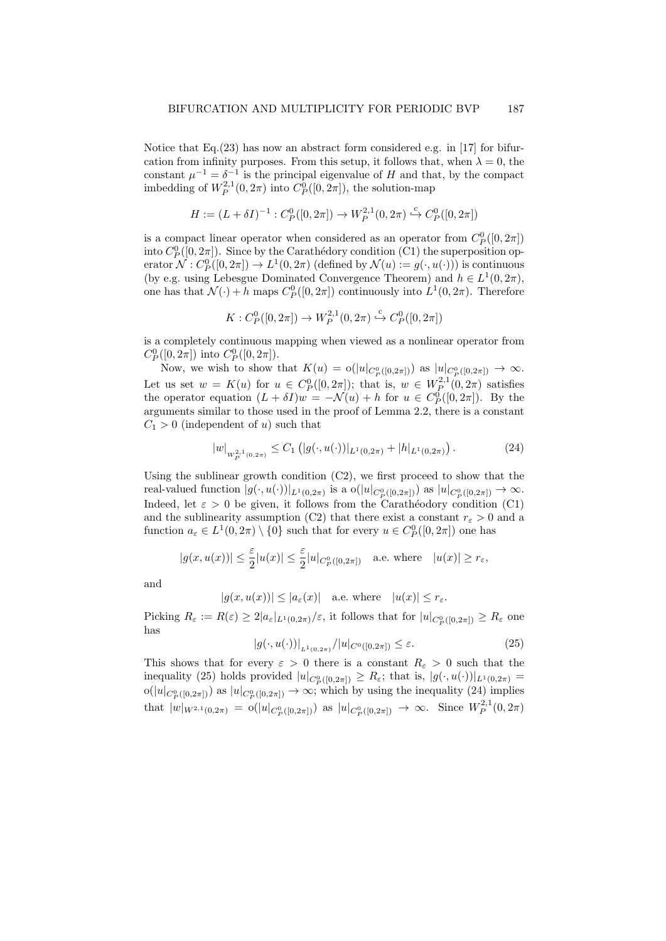Notice that Eq.(23) has now an abstract form considered e.g. in [17] for bifurcation from infinity purposes. From this setup, it follows that, when  $\lambda = 0$ , the constant  $\mu^{-1} = \delta^{-1}$  is the principal eigenvalue of H and that, by the compact imbedding of  $W_P^{2,1}(0, 2\pi)$  into  $C_P^0([0, 2\pi])$ , the solution-map

$$
H:=(L+\delta I)^{-1}:C_P^0([0,2\pi])\to W_P^{2,1}(0,2\pi)\overset{\mathrm{c}}{\hookrightarrow} C_P^0([0,2\pi])
$$

is a compact linear operator when considered as an operator from  $C_P^0([0, 2\pi])$ into  $C_P^0([0, 2\pi])$ . Since by the Carathédory condition (C1) the superposition operator  $\mathcal{N}: C^0_P([0,2\pi]) \to L^1(0,2\pi)$  (defined by  $\mathcal{N}(u) := g(\cdot,u(\cdot))$ ) is continuous (by e.g. using Lebesgue Dominated Convergence Theorem) and  $h \in L^1(0, 2\pi)$ , one has that  $\mathcal{N}(\cdot) + h$  maps  $C_P^0([0, 2\pi])$  continuously into  $L^1(0, 2\pi)$ . Therefore

$$
K: C_P^0([0, 2\pi]) \to W_P^{2,1}(0, 2\pi) \stackrel{c}{\hookrightarrow} C_P^0([0, 2\pi])
$$

is a completely continuous mapping when viewed as a nonlinear operator from  $C_P^0([0, 2\pi])$  into  $C_P^0([0, 2\pi])$ .

Now, we wish to show that  $K(u) = o(|u|_{C_P^0([0,2\pi])})$  as  $|u|_{C_P^0([0,2\pi])} \to \infty$ . Let us set  $w = K(u)$  for  $u \in C_P^0([0, 2\pi])$ ; that is,  $w \in W_{P}^{2,1}(0, 2\pi)$  satisfies the operator equation  $(L + \delta I)w = -\mathcal{N}(u) + h$  for  $u \in C_P^0([0, 2\pi])$ . By the arguments similar to those used in the proof of Lemma 2.2, there is a constant  $C_1 > 0$  (independent of u) such that

$$
|w|_{W_P^{2,1}(0,2\pi)} \le C_1 \left( |g(\cdot, u(\cdot))|_{L^1(0,2\pi)} + |h|_{L^1(0,2\pi)} \right). \tag{24}
$$

Using the sublinear growth condition  $(C2)$ , we first proceed to show that the real-valued function  $|g(\cdot, u(\cdot))|_{L^1(0, 2\pi)}$  is a  $o(|u|_{C_P^0([0, 2\pi])})$  as  $|u|_{C_P^0([0, 2\pi])} \to \infty$ . Indeed, let  $\varepsilon > 0$  be given, it follows from the Carathéodory condition (C1) and the sublinearity assumption (C2) that there exist a constant  $r_{\varepsilon} > 0$  and a function  $a_{\varepsilon} \in L^1(0, 2\pi) \setminus \{0\}$  such that for every  $u \in C^0_P([0, 2\pi])$  one has

$$
|g(x, u(x))| \le \frac{\varepsilon}{2}|u(x)| \le \frac{\varepsilon}{2}|u|_{C_P^0([0, 2\pi])} \quad \text{a.e. where} \quad |u(x)| \ge r_{\varepsilon},
$$

and

$$
|g(x,u(x))|\leq |a_\varepsilon(x)|\quad\text{a.e. where}\quad |u(x)|\leq r_\varepsilon.
$$

Picking  $R_{\varepsilon} := R(\varepsilon) \geq 2 |a_{\varepsilon}|_{L^{1}(0,2\pi)} / \varepsilon$ , it follows that for  $|u|_{C_P^0([0,2\pi])} \geq R_{\varepsilon}$  one has

$$
|g(\cdot, u(\cdot))|_{L^{1}(0, 2\pi)}/|u|_{C^{0}([0, 2\pi])} \leq \varepsilon.
$$
 (25)

This shows that for every  $\varepsilon > 0$  there is a constant  $R_{\varepsilon} > 0$  such that the inequality (25) holds provided  $|u|_{C_P^0([0,2\pi])} \geq R_{\varepsilon}$ ; that is,  $|g(\cdot,u(\cdot))|_{L^1(0,2\pi)} =$  $o(|u|_{C_P^0([0,2\pi])})$  as  $|u|_{C_P^0([0,2\pi])} \to \infty$ ; which by using the inequality (24) implies that  $|w|_{W^{2,1}(0,2\pi)} = o(|u|_{C_P^0([0,2\pi])})$  as  $|u|_{C_P^0([0,2\pi])} \to \infty$ . Since  $W_P^{2,1}(0,2\pi)$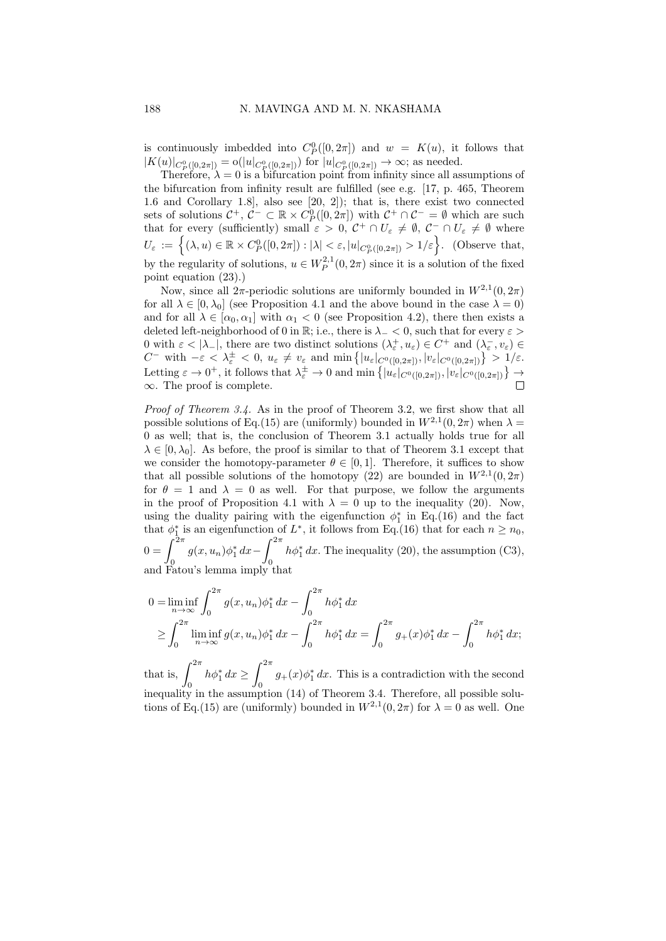is continuously imbedded into  $C_P^0([0, 2\pi])$  and  $w = K(u)$ , it follows that is continuously independent into  $C_P([0, 2n])$  and  $w = K(u)$ , it  $|K(u)|_{C_P^0([0, 2\pi])} \to \infty$ ; as needed.

Therefore,  $\lambda = 0$  is a bifurcation point from infinity since all assumptions of the bifurcation from infinity result are fulfilled (see e.g. [17, p. 465, Theorem 1.6 and Corollary 1.8], also see [20, 2]); that is, there exist two connected sets of solutions  $C^+$ ,  $C^- \subset \mathbb{R} \times C_P^0([0, 2\pi])$  with  $C^+ \cap C^- = \emptyset$  which are such that for every (sufficiently) small  $\varepsilon > 0$ ,  $C^+ \cap U_{\varepsilon} \neq \emptyset$ ,  $C^- \cap U_{\varepsilon} \neq \emptyset$  where  $U_{\varepsilon} := \left\{ (\lambda, u) \in \mathbb{R} \times C^0_P([0, 2\pi]) : |\lambda| < \varepsilon, |u|_{C^0_P([0, 2\pi])} > 1/\varepsilon \right\}.$  (Observe that, by the regularity of solutions,  $u \in W_P^{2,1}(0, 2\pi)$  since it is a solution of the fixed point equation (23).)

Now, since all  $2\pi$ -periodic solutions are uniformly bounded in  $W^{2,1}(0, 2\pi)$ for all  $\lambda \in [0, \lambda_0]$  (see Proposition 4.1 and the above bound in the case  $\lambda = 0$ ) and for all  $\lambda \in [\alpha_0, \alpha_1]$  with  $\alpha_1 < 0$  (see Proposition 4.2), there then exists a deleted left-neighborhood of 0 in R; i.e., there is  $\lambda_-\lt 0$ , such that for every  $\varepsilon$ 0 with  $\varepsilon < |\lambda_-|$ , there are two distinct solutions  $(\lambda_{\varepsilon}^+, u_{\varepsilon}) \in C^+$  and  $(\lambda_{\varepsilon}^-, v_{\varepsilon}) \in$  $C^-$  with  $-\varepsilon < \lambda_{\varepsilon}^{\pm} < 0$ ,  $u_{\varepsilon} \neq v_{\varepsilon}$  and  $\min\{|u_{\varepsilon}|_{C^0([0,2\pi])}, |v_{\varepsilon}|_{C^0([0,2\pi])}\} > 1/\varepsilon$ . Letting  $\varepsilon \to 0^+$ , it follows that  $\lambda_{\varepsilon}^{\pm} \to 0$  and  $\min \left\{ |u_{\varepsilon}|_{C^0([0,2\pi])}, |v_{\varepsilon}|_{C^0([0,2\pi])} \right\} \to$  $\infty$ . The proof is complete.

Proof of Theorem 3.4. As in the proof of Theorem 3.2, we first show that all possible solutions of Eq.(15) are (uniformly) bounded in  $W^{2,1}(0, 2\pi)$  when  $\lambda =$ 0 as well; that is, the conclusion of Theorem 3.1 actually holds true for all  $\lambda \in [0, \lambda_0]$ . As before, the proof is similar to that of Theorem 3.1 except that we consider the homotopy-parameter  $\theta \in [0,1]$ . Therefore, it suffices to show that all possible solutions of the homotopy (22) are bounded in  $W^{2,1}(0, 2\pi)$ for  $\theta = 1$  and  $\lambda = 0$  as well. For that purpose, we follow the arguments in the proof of Proposition 4.1 with  $\lambda = 0$  up to the inequality (20). Now, using the duality pairing with the eigenfunction  $\phi_1^*$  in Eq.(16) and the fact that  $\phi_1^*$  is an eigenfunction of  $L^*$ , it follows from Eq.(16) that for each  $n \geq n_0$ ,  $0 = \int^{2\pi}$  $g(x, u_n)\phi_1^* dx \int^{2\pi}$ 0  $h\phi_1^* dx$ . The inequality (20), the assumption (C3), and Fatou's lemma imply that

$$
0 = \liminf_{n \to \infty} \int_0^{2\pi} g(x, u_n) \phi_1^* dx - \int_0^{2\pi} h \phi_1^* dx
$$
  
\n
$$
\geq \int_0^{2\pi} \liminf_{n \to \infty} g(x, u_n) \phi_1^* dx - \int_0^{2\pi} h \phi_1^* dx = \int_0^{2\pi} g_+(x) \phi_1^* dx - \int_0^{2\pi} h \phi_1^* dx;
$$

that is,  $\int_{0}^{2\pi}$  $\boldsymbol{0}$  $h\phi_1^* dx \geq$  $\int^{2\pi}$  $g_{+}(x)\phi_{1}^{*}dx$ . This is a contradiction with the second inequality in the assumption (14) of Theorem 3.4. Therefore, all possible solutions of Eq.(15) are (uniformly) bounded in  $W^{2,1}(0, 2\pi)$  for  $\lambda = 0$  as well. One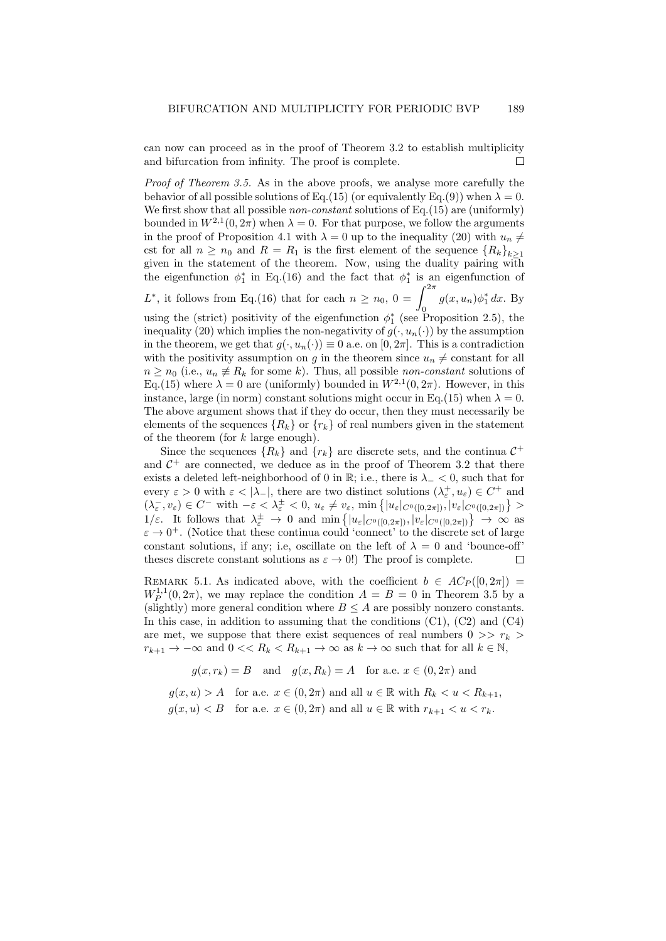can now can proceed as in the proof of Theorem 3.2 to establish multiplicity and bifurcation from infinity. The proof is complete. П

Proof of Theorem 3.5. As in the above proofs, we analyse more carefully the behavior of all possible solutions of Eq.(15) (or equivalently Eq.(9)) when  $\lambda = 0$ . We first show that all possible *non-constant* solutions of Eq.(15) are (uniformly) bounded in  $W^{2,1}(0, 2\pi)$  when  $\lambda = 0$ . For that purpose, we follow the arguments in the proof of Proposition 4.1 with  $\lambda = 0$  up to the inequality (20) with  $u_n \neq$ cst for all  $n \geq n_0$  and  $R = R_1$  is the first element of the sequence  $\{R_k\}_{k\geq 1}$ given in the statement of the theorem. Now, using the duality pairing with the eigenfunction  $\phi_1^*$  in Eq.(16) and the fact that  $\phi_1^*$  is an eigenfunction of  $\eta_1$  in Eq. (10) and the fact that  $\varphi_1$ 

L<sup>\*</sup>, it follows from Eq.(16) that for each  $n \ge n_0$ ,  $0 = \int_0^{2\pi} g(x, u_n) \phi_1^* dx$ . By

using the (strict) positivity of the eigenfunction  $\phi_1^*$  (see Proposition 2.5), the inequality (20) which implies the non-negativity of  $g(\cdot, u_n(\cdot))$  by the assumption in the theorem, we get that  $g(\cdot, u_n(\cdot)) \equiv 0$  a.e. on  $[0, 2\pi]$ . This is a contradiction with the positivity assumption on g in the theorem since  $u_n \neq$  constant for all  $n \geq n_0$  (i.e.,  $u_n \neq R_k$  for some k). Thus, all possible non-constant solutions of Eq.(15) where  $\lambda = 0$  are (uniformly) bounded in  $W^{2,1}(0, 2\pi)$ . However, in this instance, large (in norm) constant solutions might occur in Eq.(15) when  $\lambda = 0$ . The above argument shows that if they do occur, then they must necessarily be elements of the sequences  ${R_k}$  or  ${r_k}$  of real numbers given in the statement of the theorem (for  $k$  large enough).

Since the sequences  $\{R_k\}$  and  $\{r_k\}$  are discrete sets, and the continua  $C^+$ and  $C^+$  are connected, we deduce as in the proof of Theorem 3.2 that there exists a deleted left-neighborhood of 0 in R; i.e., there is  $\lambda_{-} < 0$ , such that for every  $\varepsilon > 0$  with  $\varepsilon < |\lambda_-|$ , there are two distinct solutions  $(\lambda_{\varepsilon}^+, u_{\varepsilon}) \in C^+$  and  $(\lambda_{\varepsilon}^-, v_{\varepsilon}) \in C^-$  with  $-\varepsilon < \lambda_{\varepsilon}^{\pm} < 0$ ,  $u_{\varepsilon} \neq v_{\varepsilon}$ , min  $\{|u_{\varepsilon}|_{C^0([0,2\pi])}, |v_{\varepsilon}|_{C^0([0,2\pi])}\} >$  $1/\varepsilon$ . It follows that  $\lambda_{\varepsilon}^{\pm} \to 0$  and  $\min\{|u_{\varepsilon}|_{C^{0}([0,2\pi])}, |v_{\varepsilon}|_{C^{0}([0,2\pi])}\}\to \infty$  as  $\varepsilon \to 0^+$ . (Notice that these continua could 'connect' to the discrete set of large constant solutions, if any; i.e. oscillate on the left of  $\lambda = 0$  and 'bounce-off' theses discrete constant solutions as  $\varepsilon \to 0$ !) The proof is complete.  $\Box$ 

REMARK 5.1. As indicated above, with the coefficient  $b \in AC_P([0, 2\pi])$  $W_P^{1,1}(0,2\pi)$ , we may replace the condition  $A = B = 0$  in Theorem 3.5 by a (slightly) more general condition where  $B \leq A$  are possibly nonzero constants. In this case, in addition to assuming that the conditions  $(C1)$ ,  $(C2)$  and  $(C4)$ are met, we suppose that there exist sequences of real numbers  $0 \gg r_k$  $r_{k+1} \to -\infty$  and  $0 \ll R_k \ll R_{k+1} \to \infty$  as  $k \to \infty$  such that for all  $k \in \mathbb{N}$ ,

 $g(x, r_k) = B$  and  $g(x, R_k) = A$  for a.e.  $x \in (0, 2\pi)$  and

 $q(x, u) > A$  for a.e.  $x \in (0, 2\pi)$  and all  $u \in \mathbb{R}$  with  $R_k < u < R_{k+1}$ ,  $q(x, u) < B$  for a.e.  $x \in (0, 2\pi)$  and all  $u \in \mathbb{R}$  with  $r_{k+1} < u < r_k$ .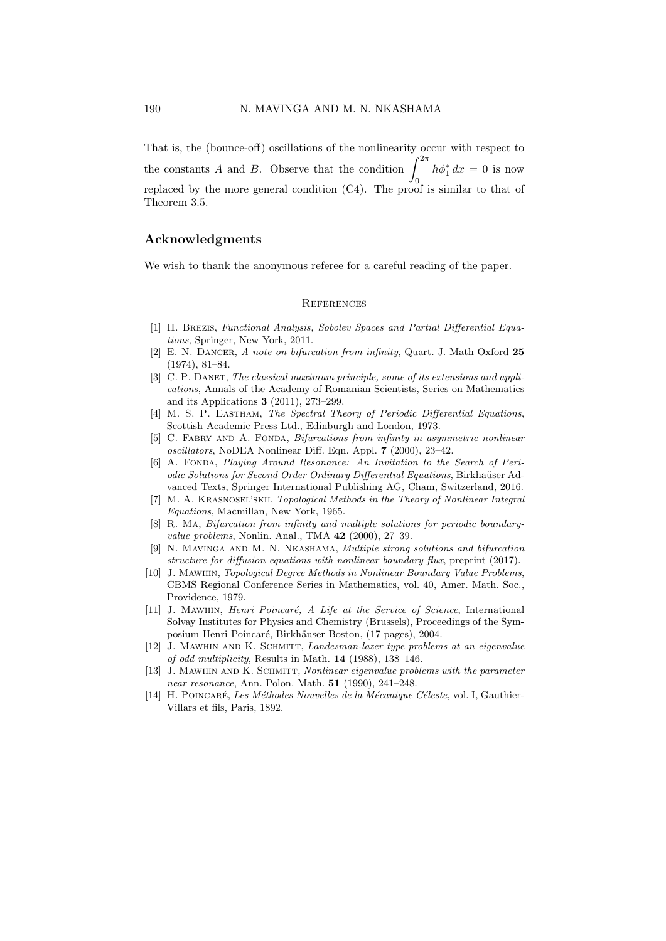That is, the (bounce-off) oscillations of the nonlinearity occur with respect to the constants A and B. Observe that the condition  $\int_{0}^{2\pi}$ 0  $h\phi_1^* dx = 0$  is now replaced by the more general condition (C4). The proof is similar to that of Theorem 3.5.

# Acknowledgments

We wish to thank the anonymous referee for a careful reading of the paper.

#### **REFERENCES**

- [1] H. Brezis, Functional Analysis, Sobolev Spaces and Partial Differential Equations, Springer, New York, 2011.
- [2] E. N. DANCER, A note on bifurcation from infinity, Quart. J. Math Oxford 25 (1974), 81–84.
- [3] C. P. DANET, The classical maximum principle, some of its extensions and applications, Annals of the Academy of Romanian Scientists, Series on Mathematics and its Applications 3 (2011), 273–299.
- [4] M. S. P. EASTHAM, The Spectral Theory of Periodic Differential Equations, Scottish Academic Press Ltd., Edinburgh and London, 1973.
- [5] C. FABRY AND A. FONDA, *Bifurcations from infinity in asymmetric nonlinear* oscillators, NoDEA Nonlinear Diff. Eqn. Appl. 7 (2000), 23–42.
- [6] A. FONDA, Playing Around Resonance: An Invitation to the Search of Periodic Solutions for Second Order Ordinary Differential Equations, Birkhaüser Advanced Texts, Springer International Publishing AG, Cham, Switzerland, 2016.
- [7] M. A. Krasnosel'skii, Topological Methods in the Theory of Nonlinear Integral Equations, Macmillan, New York, 1965.
- [8] R. Ma, Bifurcation from infinity and multiple solutions for periodic boundaryvalue problems, Nonlin. Anal., TMA 42 (2000), 27–39.
- [9] N. Mavinga and M. N. Nkashama, Multiple strong solutions and bifurcation structure for diffusion equations with nonlinear boundary flux, preprint (2017).
- [10] J. Mawhin, Topological Degree Methods in Nonlinear Boundary Value Problems, CBMS Regional Conference Series in Mathematics, vol. 40, Amer. Math. Soc., Providence, 1979.
- [11] J. MAWHIN, Henri Poincaré, A Life at the Service of Science, International Solvay Institutes for Physics and Chemistry (Brussels), Proceedings of the Symposium Henri Poincaré, Birkhäuser Boston, (17 pages), 2004.
- [12] J. Mawhin and K. Schmitt, Landesman-lazer type problems at an eigenvalue of odd multiplicity, Results in Math. 14 (1988), 138–146.
- [13] J. MAWHIN AND K. SCHMITT, *Nonlinear eigenvalue problems with the parameter* near resonance, Ann. Polon. Math. 51 (1990), 241–248.
- [14] H. POINCARÉ, Les Méthodes Nouvelles de la Mécanique Céleste, vol. I, Gauthier-Villars et fils, Paris, 1892.